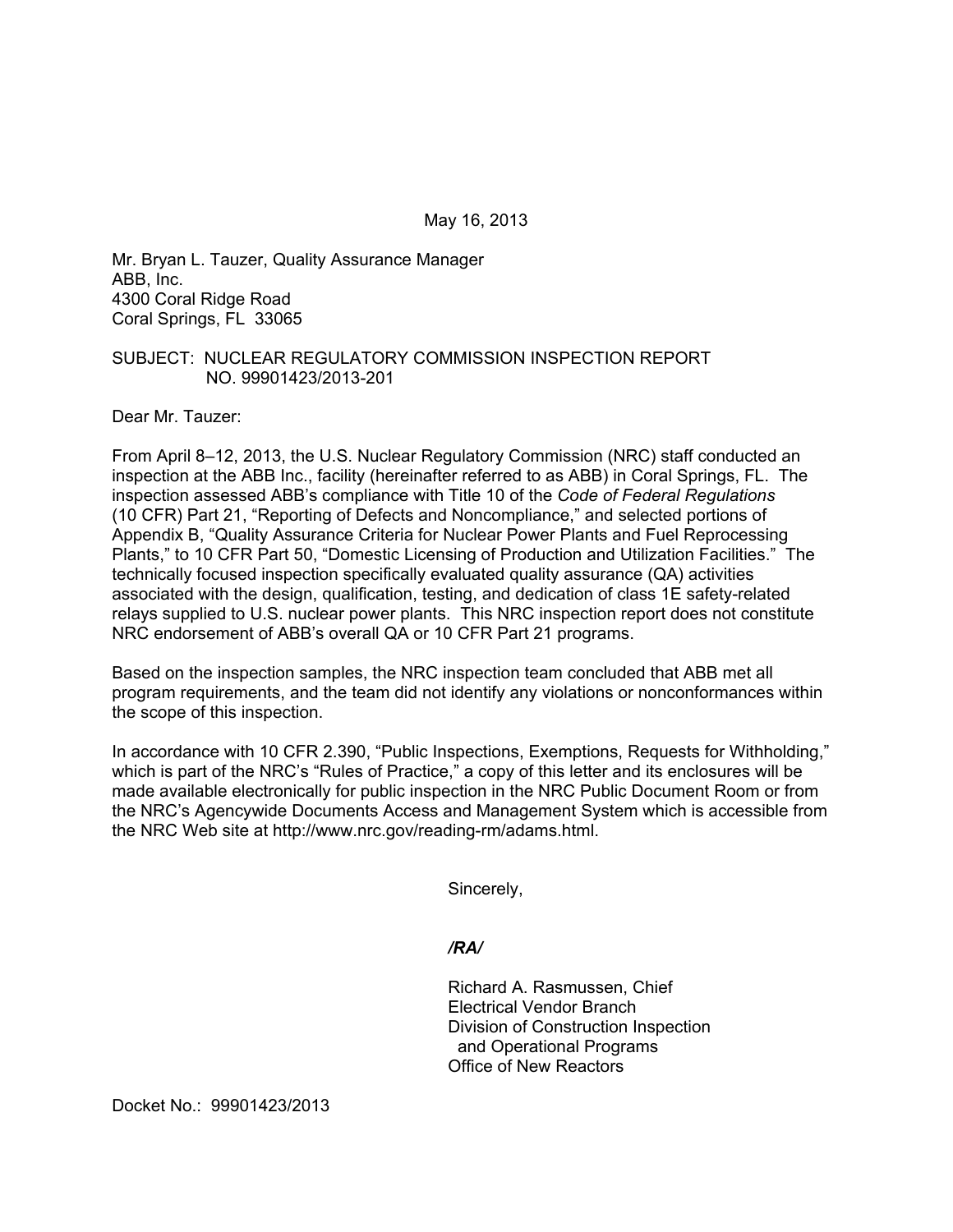May 16, 2013

Mr. Bryan L. Tauzer, Quality Assurance Manager ABB, Inc. 4300 Coral Ridge Road Coral Springs, FL 33065

#### SUBJECT: NUCLEAR REGULATORY COMMISSION INSPECTION REPORT NO. 99901423/2013-201

Dear Mr. Tauzer:

From April 8–12, 2013, the U.S. Nuclear Regulatory Commission (NRC) staff conducted an inspection at the ABB Inc., facility (hereinafter referred to as ABB) in Coral Springs, FL. The inspection assessed ABB's compliance with Title 10 of the *Code of Federal Regulations* (10 CFR) Part 21, "Reporting of Defects and Noncompliance," and selected portions of Appendix B, "Quality Assurance Criteria for Nuclear Power Plants and Fuel Reprocessing Plants," to 10 CFR Part 50, "Domestic Licensing of Production and Utilization Facilities." The technically focused inspection specifically evaluated quality assurance (QA) activities associated with the design, qualification, testing, and dedication of class 1E safety-related relays supplied to U.S. nuclear power plants. This NRC inspection report does not constitute NRC endorsement of ABB's overall QA or 10 CFR Part 21 programs.

Based on the inspection samples, the NRC inspection team concluded that ABB met all program requirements, and the team did not identify any violations or nonconformances within the scope of this inspection.

In accordance with 10 CFR 2.390, "Public Inspections, Exemptions, Requests for Withholding," which is part of the NRC's "Rules of Practice," a copy of this letter and its enclosures will be made available electronically for public inspection in the NRC Public Document Room or from the NRC's Agencywide Documents Access and Management System which is accessible from the NRC Web site at http://www.nrc.gov/reading-rm/adams.html.

Sincerely,

#### */RA/*

Richard A. Rasmussen, Chief Electrical Vendor Branch Division of Construction Inspection and Operational Programs Office of New Reactors

Docket No.: 99901423/2013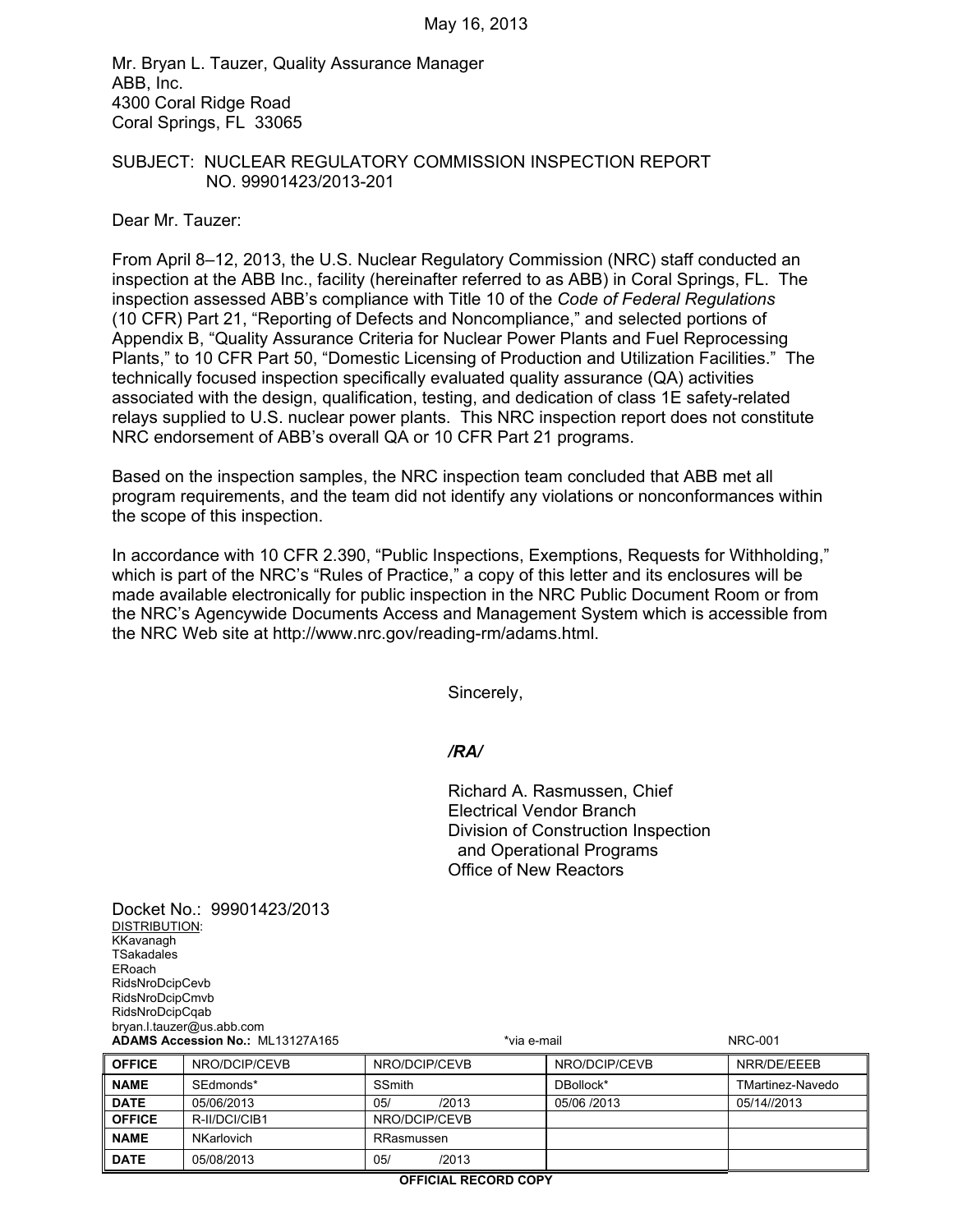Mr. Bryan L. Tauzer, Quality Assurance Manager ABB, Inc. 4300 Coral Ridge Road Coral Springs, FL 33065

#### SUBJECT: NUCLEAR REGULATORY COMMISSION INSPECTION REPORT NO. 99901423/2013-201

Dear Mr. Tauzer:

Docket No.: 99901423/2013

DISTRIBUTION:

From April 8–12, 2013, the U.S. Nuclear Regulatory Commission (NRC) staff conducted an inspection at the ABB Inc., facility (hereinafter referred to as ABB) in Coral Springs, FL. The inspection assessed ABB's compliance with Title 10 of the *Code of Federal Regulations* (10 CFR) Part 21, "Reporting of Defects and Noncompliance," and selected portions of Appendix B, "Quality Assurance Criteria for Nuclear Power Plants and Fuel Reprocessing Plants," to 10 CFR Part 50, "Domestic Licensing of Production and Utilization Facilities." The technically focused inspection specifically evaluated quality assurance (QA) activities associated with the design, qualification, testing, and dedication of class 1E safety-related relays supplied to U.S. nuclear power plants. This NRC inspection report does not constitute NRC endorsement of ABB's overall QA or 10 CFR Part 21 programs.

Based on the inspection samples, the NRC inspection team concluded that ABB met all program requirements, and the team did not identify any violations or nonconformances within the scope of this inspection.

In accordance with 10 CFR 2.390, "Public Inspections, Exemptions, Requests for Withholding," which is part of the NRC's "Rules of Practice," a copy of this letter and its enclosures will be made available electronically for public inspection in the NRC Public Document Room or from the NRC's Agencywide Documents Access and Management System which is accessible from the NRC Web site at http://www.nrc.gov/reading-rm/adams.html.

Sincerely,

#### */RA/*

Richard A. Rasmussen, Chief Electrical Vendor Branch Division of Construction Inspection and Operational Programs Office of New Reactors

KKavanagh **TSakadales** ERoach RidsNroDcipCevb RidsNroDcipCmvb RidsNroDcipCqab bryan.l.tauzer@us.abb.com **ADAMS Accession No.:** ML13127A165 **\*via e-mail \*via e-mail NRC-001 OFFICE** NRO/DCIP/CEVB NRO/DCIP/CEVB NRO/DCIP/CEVB NRR/DE/EEEB **NAME** SEdmonds\* SSmith BED SSMIT SERVICE BED BOLLOCK\* TMartinez-Navedo **DATE** 05/06/2013 05/ /2013 05/06 /2013 05/14//2013 **OFFICE** R-II/DCI/CIB1 NRO/DCIP/CEVB **NAME NKarlovich RRasmussen DATE** 05/08/2013 05/ 05/ /2013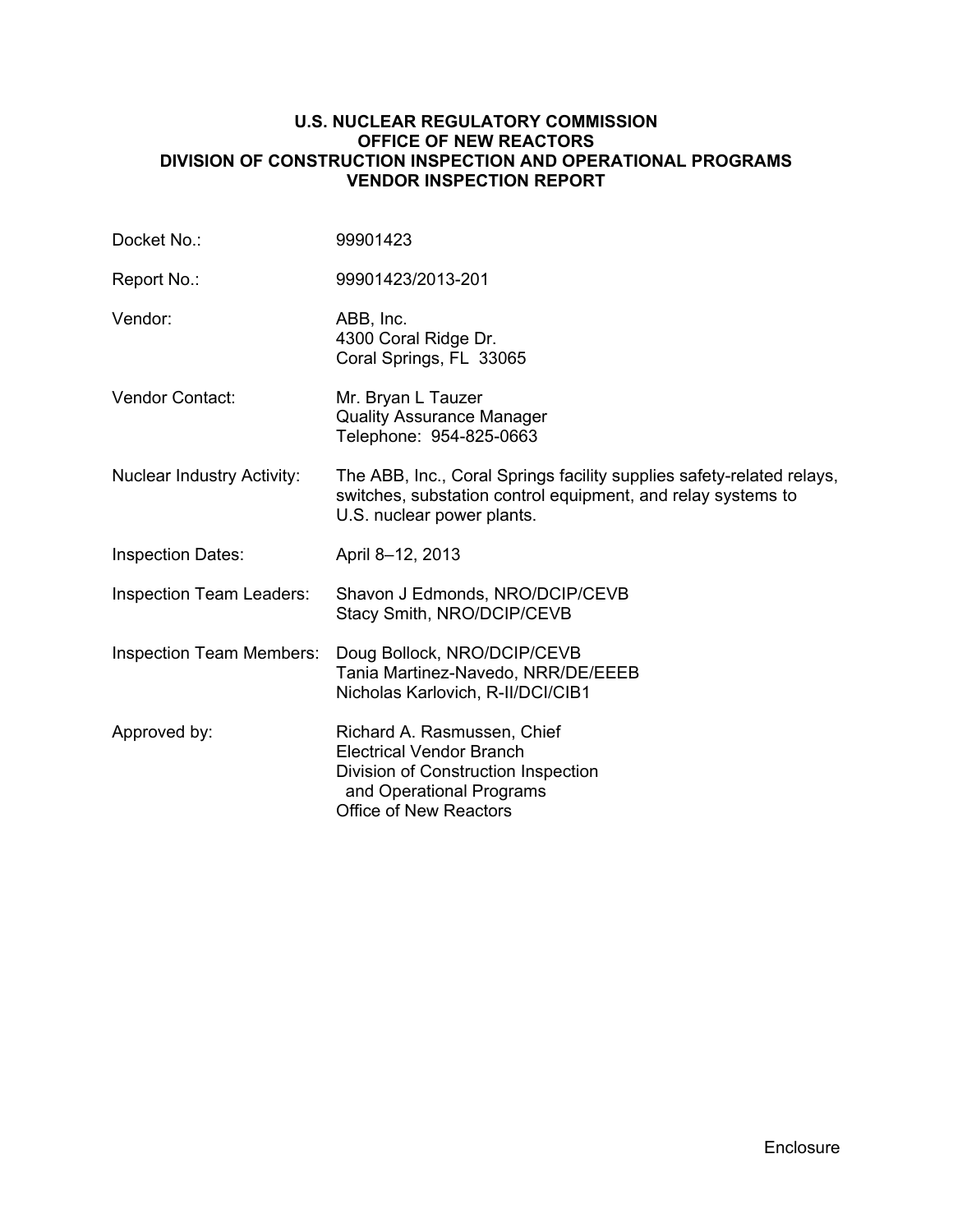#### **U.S. NUCLEAR REGULATORY COMMISSION OFFICE OF NEW REACTORS DIVISION OF CONSTRUCTION INSPECTION AND OPERATIONAL PROGRAMS VENDOR INSPECTION REPORT**

| Docket No.:                       | 99901423                                                                                                                                                            |
|-----------------------------------|---------------------------------------------------------------------------------------------------------------------------------------------------------------------|
| Report No.:                       | 99901423/2013-201                                                                                                                                                   |
| Vendor:                           | ABB, Inc.<br>4300 Coral Ridge Dr.<br>Coral Springs, FL 33065                                                                                                        |
| <b>Vendor Contact:</b>            | Mr. Bryan L Tauzer<br><b>Quality Assurance Manager</b><br>Telephone: 954-825-0663                                                                                   |
| <b>Nuclear Industry Activity:</b> | The ABB, Inc., Coral Springs facility supplies safety-related relays,<br>switches, substation control equipment, and relay systems to<br>U.S. nuclear power plants. |
| <b>Inspection Dates:</b>          | April 8-12, 2013                                                                                                                                                    |
| <b>Inspection Team Leaders:</b>   | Shavon J Edmonds, NRO/DCIP/CEVB<br>Stacy Smith, NRO/DCIP/CEVB                                                                                                       |
| <b>Inspection Team Members:</b>   | Doug Bollock, NRO/DCIP/CEVB<br>Tania Martinez-Navedo, NRR/DE/EEEB<br>Nicholas Karlovich, R-II/DCI/CIB1                                                              |
| Approved by:                      | Richard A. Rasmussen, Chief<br><b>Electrical Vendor Branch</b><br>Division of Construction Inspection<br>and Operational Programs<br><b>Office of New Reactors</b>  |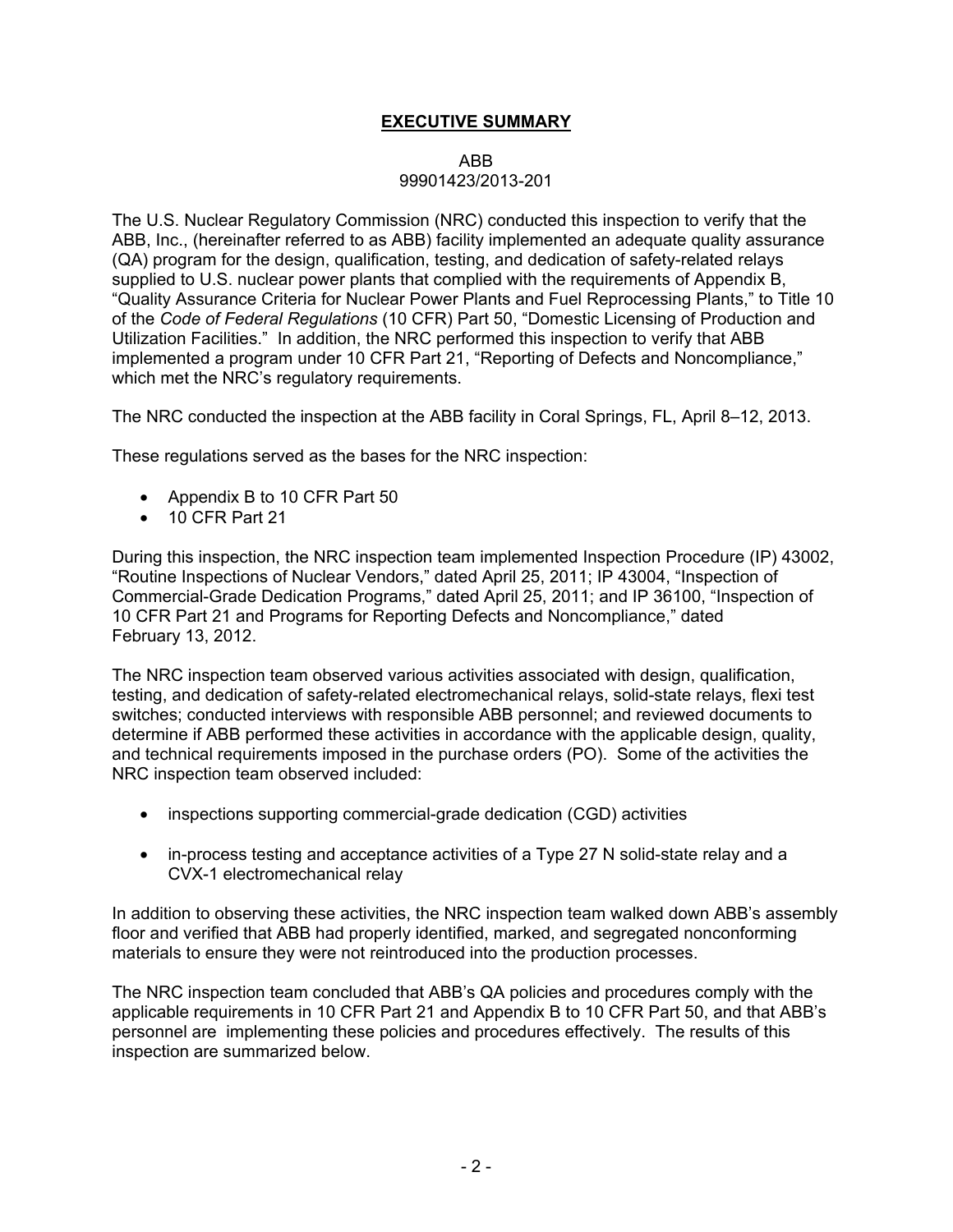## **EXECUTIVE SUMMARY**

#### ABB

#### 99901423/2013-201

The U.S. Nuclear Regulatory Commission (NRC) conducted this inspection to verify that the ABB, Inc., (hereinafter referred to as ABB) facility implemented an adequate quality assurance (QA) program for the design, qualification, testing, and dedication of safety-related relays supplied to U.S. nuclear power plants that complied with the requirements of Appendix B, "Quality Assurance Criteria for Nuclear Power Plants and Fuel Reprocessing Plants," to Title 10 of the *Code of Federal Regulations* (10 CFR) Part 50, "Domestic Licensing of Production and Utilization Facilities." In addition, the NRC performed this inspection to verify that ABB implemented a program under 10 CFR Part 21, "Reporting of Defects and Noncompliance," which met the NRC's regulatory requirements.

The NRC conducted the inspection at the ABB facility in Coral Springs, FL, April 8–12, 2013.

These regulations served as the bases for the NRC inspection:

- Appendix B to 10 CFR Part 50
- 10 CFR Part 21

During this inspection, the NRC inspection team implemented Inspection Procedure (IP) 43002, "Routine Inspections of Nuclear Vendors," dated April 25, 2011; IP 43004, "Inspection of Commercial-Grade Dedication Programs," dated April 25, 2011; and IP 36100, "Inspection of 10 CFR Part 21 and Programs for Reporting Defects and Noncompliance," dated February 13, 2012.

The NRC inspection team observed various activities associated with design, qualification, testing, and dedication of safety-related electromechanical relays, solid-state relays, flexi test switches; conducted interviews with responsible ABB personnel; and reviewed documents to determine if ABB performed these activities in accordance with the applicable design, quality, and technical requirements imposed in the purchase orders (PO). Some of the activities the NRC inspection team observed included:

- inspections supporting commercial-grade dedication (CGD) activities
- in-process testing and acceptance activities of a Type 27 N solid-state relay and a CVX-1 electromechanical relay

In addition to observing these activities, the NRC inspection team walked down ABB's assembly floor and verified that ABB had properly identified, marked, and segregated nonconforming materials to ensure they were not reintroduced into the production processes.

The NRC inspection team concluded that ABB's QA policies and procedures comply with the applicable requirements in 10 CFR Part 21 and Appendix B to 10 CFR Part 50, and that ABB's personnel are implementing these policies and procedures effectively. The results of this inspection are summarized below.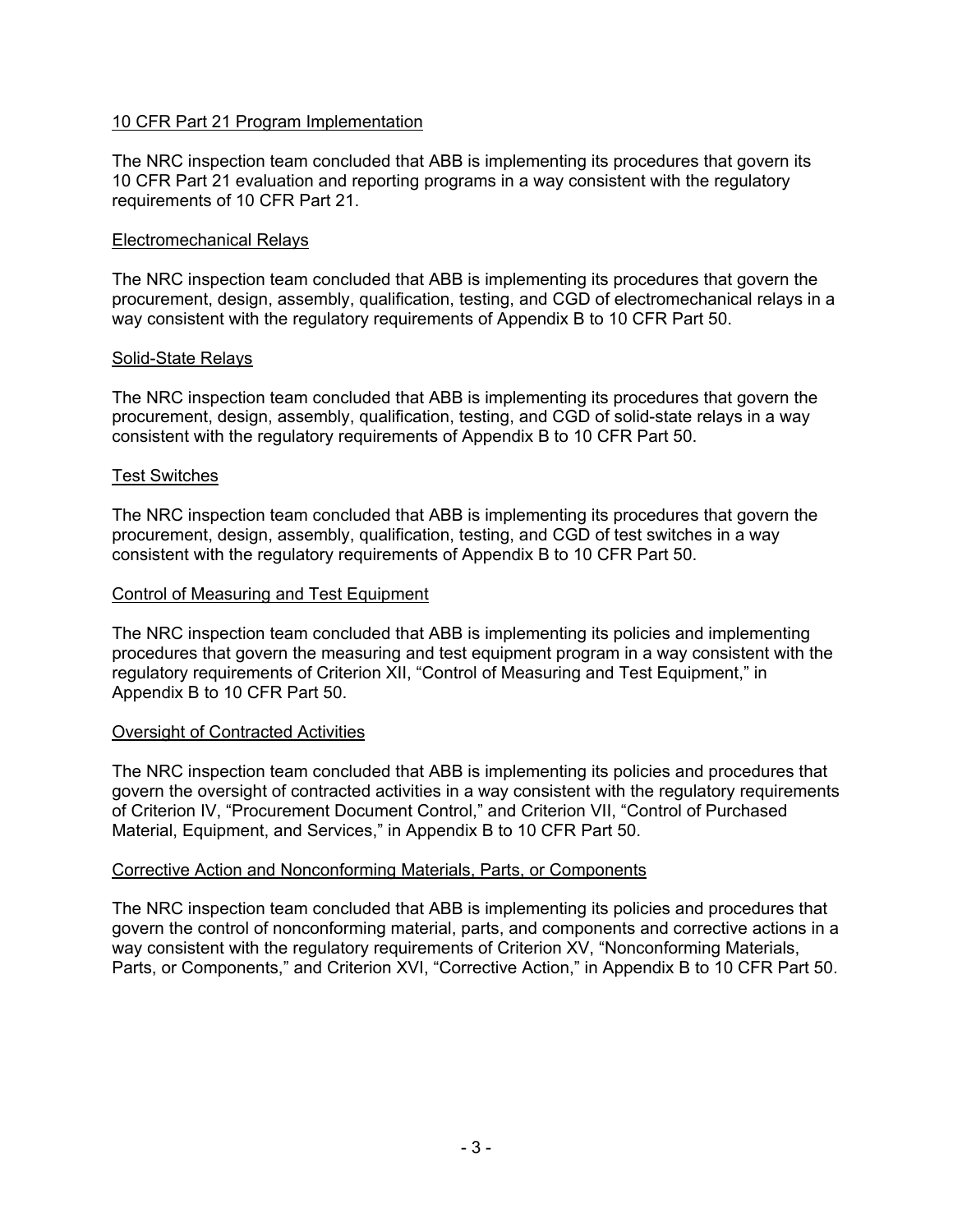### 10 CFR Part 21 Program Implementation

The NRC inspection team concluded that ABB is implementing its procedures that govern its 10 CFR Part 21 evaluation and reporting programs in a way consistent with the regulatory requirements of 10 CFR Part 21.

#### Electromechanical Relays

The NRC inspection team concluded that ABB is implementing its procedures that govern the procurement, design, assembly, qualification, testing, and CGD of electromechanical relays in a way consistent with the regulatory requirements of Appendix B to 10 CFR Part 50.

#### Solid-State Relays

The NRC inspection team concluded that ABB is implementing its procedures that govern the procurement, design, assembly, qualification, testing, and CGD of solid-state relays in a way consistent with the regulatory requirements of Appendix B to 10 CFR Part 50.

#### Test Switches

The NRC inspection team concluded that ABB is implementing its procedures that govern the procurement, design, assembly, qualification, testing, and CGD of test switches in a way consistent with the regulatory requirements of Appendix B to 10 CFR Part 50.

#### Control of Measuring and Test Equipment

The NRC inspection team concluded that ABB is implementing its policies and implementing procedures that govern the measuring and test equipment program in a way consistent with the regulatory requirements of Criterion XII, "Control of Measuring and Test Equipment," in Appendix B to 10 CFR Part 50.

### Oversight of Contracted Activities

The NRC inspection team concluded that ABB is implementing its policies and procedures that govern the oversight of contracted activities in a way consistent with the regulatory requirements of Criterion IV, "Procurement Document Control," and Criterion VII, "Control of Purchased Material, Equipment, and Services," in Appendix B to 10 CFR Part 50.

### Corrective Action and Nonconforming Materials, Parts, or Components

The NRC inspection team concluded that ABB is implementing its policies and procedures that govern the control of nonconforming material, parts, and components and corrective actions in a way consistent with the regulatory requirements of Criterion XV, "Nonconforming Materials, Parts, or Components," and Criterion XVI, "Corrective Action," in Appendix B to 10 CFR Part 50.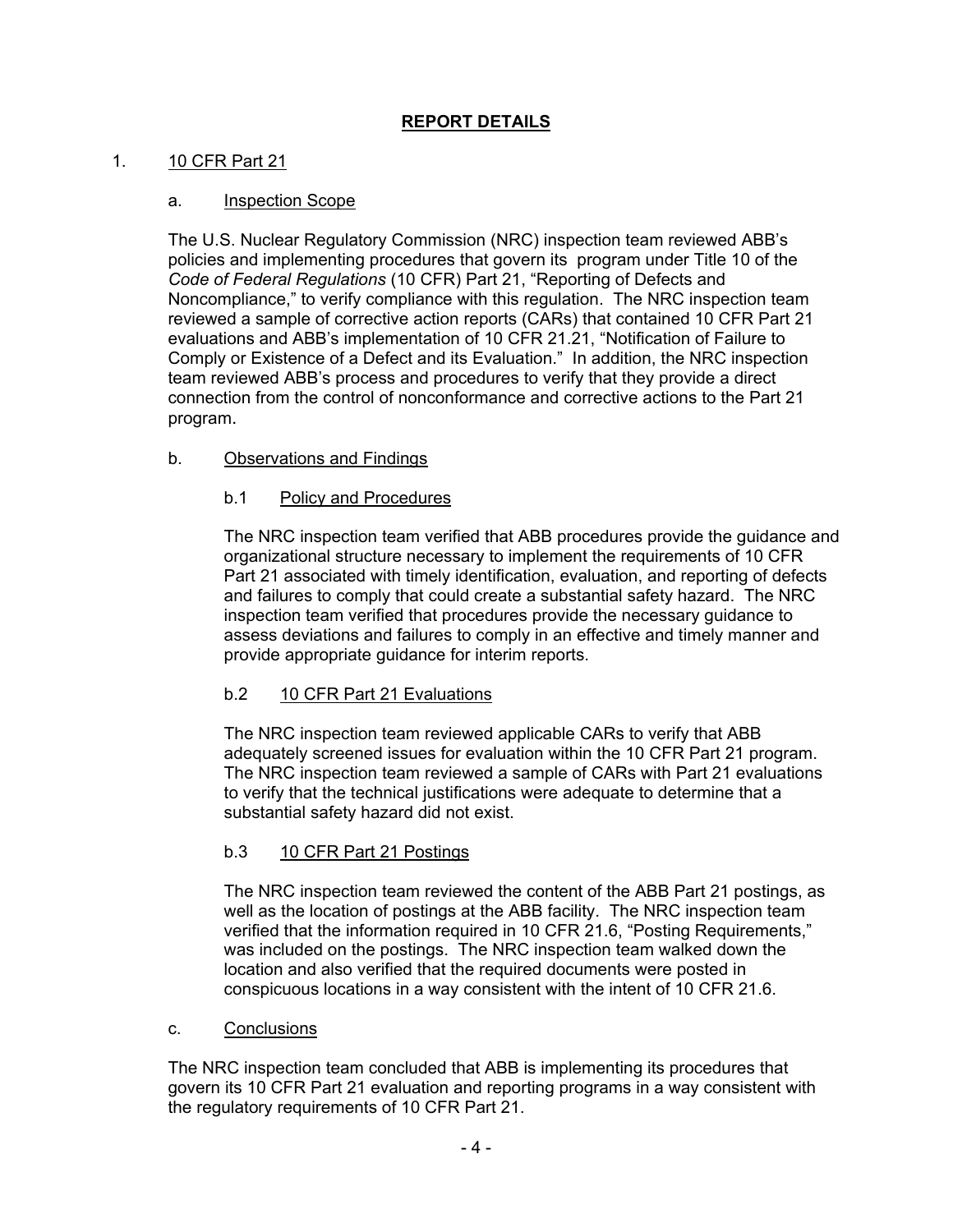## **REPORT DETAILS**

## 1. 10 CFR Part 21

## a. Inspection Scope

The U.S. Nuclear Regulatory Commission (NRC) inspection team reviewed ABB's policies and implementing procedures that govern its program under Title 10 of the *Code of Federal Regulations* (10 CFR) Part 21, "Reporting of Defects and Noncompliance," to verify compliance with this regulation. The NRC inspection team reviewed a sample of corrective action reports (CARs) that contained 10 CFR Part 21 evaluations and ABB's implementation of 10 CFR 21.21, "Notification of Failure to Comply or Existence of a Defect and its Evaluation." In addition, the NRC inspection team reviewed ABB's process and procedures to verify that they provide a direct connection from the control of nonconformance and corrective actions to the Part 21 program.

## b. Observations and Findings

## b.1 Policy and Procedures

The NRC inspection team verified that ABB procedures provide the guidance and organizational structure necessary to implement the requirements of 10 CFR Part 21 associated with timely identification, evaluation, and reporting of defects and failures to comply that could create a substantial safety hazard. The NRC inspection team verified that procedures provide the necessary guidance to assess deviations and failures to comply in an effective and timely manner and provide appropriate guidance for interim reports.

## b.2 10 CFR Part 21 Evaluations

The NRC inspection team reviewed applicable CARs to verify that ABB adequately screened issues for evaluation within the 10 CFR Part 21 program. The NRC inspection team reviewed a sample of CARs with Part 21 evaluations to verify that the technical justifications were adequate to determine that a substantial safety hazard did not exist.

### b.3 10 CFR Part 21 Postings

The NRC inspection team reviewed the content of the ABB Part 21 postings, as well as the location of postings at the ABB facility. The NRC inspection team verified that the information required in 10 CFR 21.6, "Posting Requirements," was included on the postings. The NRC inspection team walked down the location and also verified that the required documents were posted in conspicuous locations in a way consistent with the intent of 10 CFR 21.6.

### c. Conclusions

The NRC inspection team concluded that ABB is implementing its procedures that govern its 10 CFR Part 21 evaluation and reporting programs in a way consistent with the regulatory requirements of 10 CFR Part 21.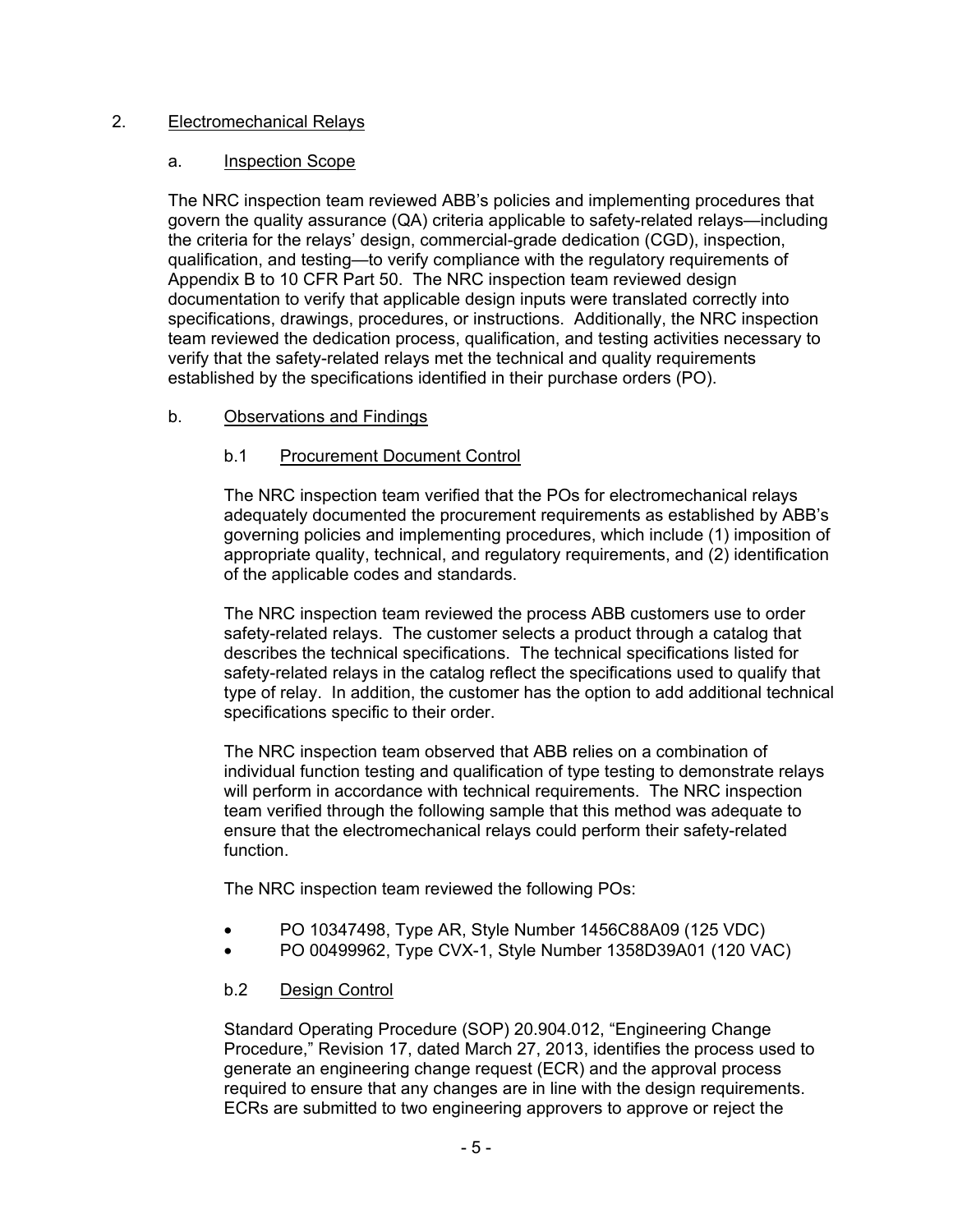## 2. Electromechanical Relays

### a. Inspection Scope

The NRC inspection team reviewed ABB's policies and implementing procedures that govern the quality assurance (QA) criteria applicable to safety-related relays—including the criteria for the relays' design, commercial-grade dedication (CGD), inspection, qualification, and testing—to verify compliance with the regulatory requirements of Appendix B to 10 CFR Part 50. The NRC inspection team reviewed design documentation to verify that applicable design inputs were translated correctly into specifications, drawings, procedures, or instructions. Additionally, the NRC inspection team reviewed the dedication process, qualification, and testing activities necessary to verify that the safety-related relays met the technical and quality requirements established by the specifications identified in their purchase orders (PO).

## b. Observations and Findings

## b.1 Procurement Document Control

The NRC inspection team verified that the POs for electromechanical relays adequately documented the procurement requirements as established by ABB's governing policies and implementing procedures, which include (1) imposition of appropriate quality, technical, and regulatory requirements, and (2) identification of the applicable codes and standards.

The NRC inspection team reviewed the process ABB customers use to order safety-related relays. The customer selects a product through a catalog that describes the technical specifications. The technical specifications listed for safety-related relays in the catalog reflect the specifications used to qualify that type of relay. In addition, the customer has the option to add additional technical specifications specific to their order.

The NRC inspection team observed that ABB relies on a combination of individual function testing and qualification of type testing to demonstrate relays will perform in accordance with technical requirements. The NRC inspection team verified through the following sample that this method was adequate to ensure that the electromechanical relays could perform their safety-related function.

The NRC inspection team reviewed the following POs:

- PO 10347498, Type AR, Style Number 1456C88A09 (125 VDC)
- PO 00499962, Type CVX-1, Style Number 1358D39A01 (120 VAC)

## b.2 Design Control

Standard Operating Procedure (SOP) 20.904.012, "Engineering Change Procedure," Revision 17, dated March 27, 2013, identifies the process used to generate an engineering change request (ECR) and the approval process required to ensure that any changes are in line with the design requirements. ECRs are submitted to two engineering approvers to approve or reject the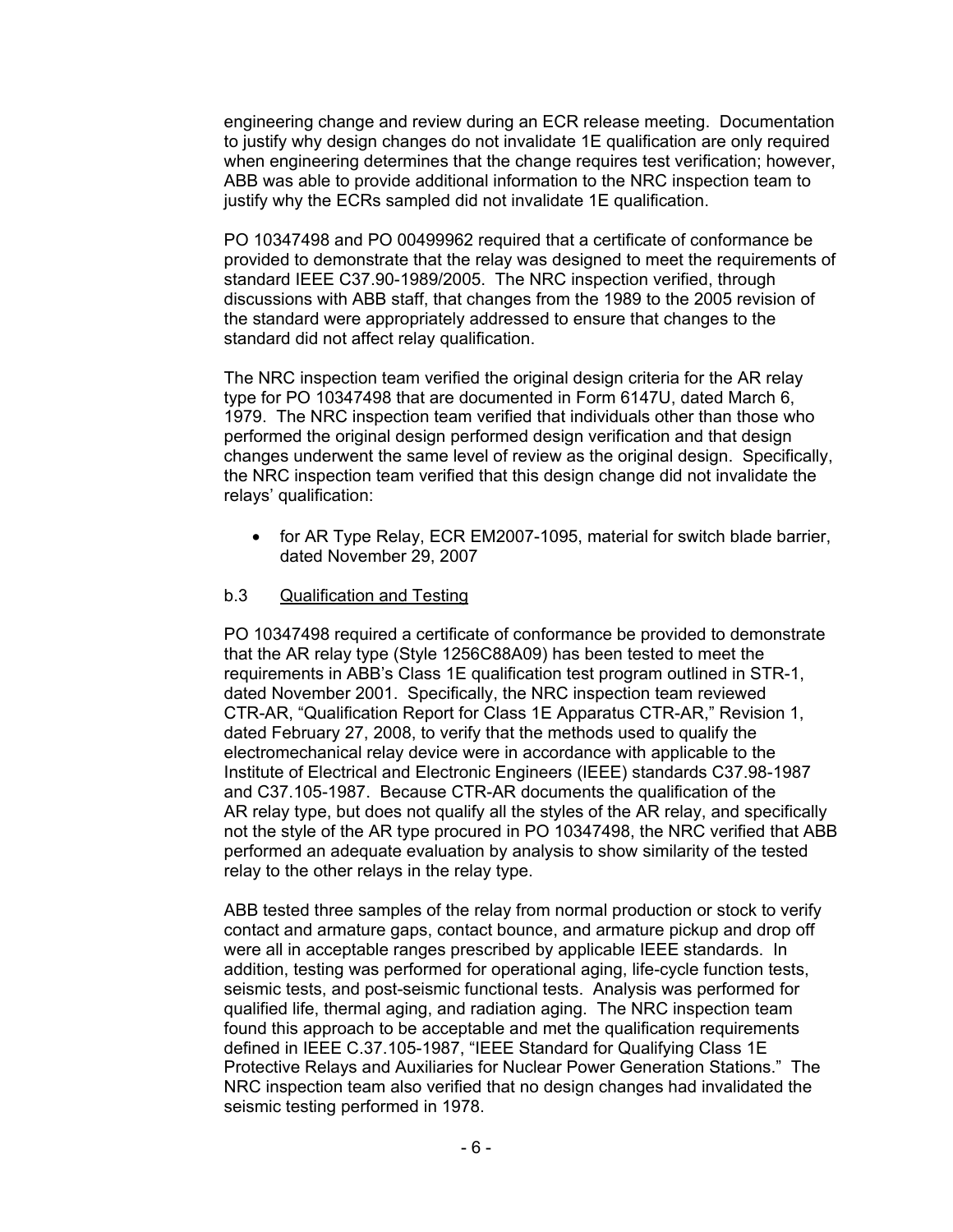engineering change and review during an ECR release meeting. Documentation to justify why design changes do not invalidate 1E qualification are only required when engineering determines that the change requires test verification; however, ABB was able to provide additional information to the NRC inspection team to justify why the ECRs sampled did not invalidate 1E qualification.

PO 10347498 and PO 00499962 required that a certificate of conformance be provided to demonstrate that the relay was designed to meet the requirements of standard IEEE C37.90-1989/2005. The NRC inspection verified, through discussions with ABB staff, that changes from the 1989 to the 2005 revision of the standard were appropriately addressed to ensure that changes to the standard did not affect relay qualification.

The NRC inspection team verified the original design criteria for the AR relay type for PO 10347498 that are documented in Form 6147U, dated March 6, 1979. The NRC inspection team verified that individuals other than those who performed the original design performed design verification and that design changes underwent the same level of review as the original design. Specifically, the NRC inspection team verified that this design change did not invalidate the relays' qualification:

• for AR Type Relay, ECR EM2007-1095, material for switch blade barrier, dated November 29, 2007

### b.3 Qualification and Testing

PO 10347498 required a certificate of conformance be provided to demonstrate that the AR relay type (Style 1256C88A09) has been tested to meet the requirements in ABB's Class 1E qualification test program outlined in STR-1, dated November 2001. Specifically, the NRC inspection team reviewed CTR-AR, "Qualification Report for Class 1E Apparatus CTR-AR," Revision 1, dated February 27, 2008, to verify that the methods used to qualify the electromechanical relay device were in accordance with applicable to the Institute of Electrical and Electronic Engineers (IEEE) standards C37.98-1987 and C37.105-1987. Because CTR-AR documents the qualification of the AR relay type, but does not qualify all the styles of the AR relay, and specifically not the style of the AR type procured in PO 10347498, the NRC verified that ABB performed an adequate evaluation by analysis to show similarity of the tested relay to the other relays in the relay type.

ABB tested three samples of the relay from normal production or stock to verify contact and armature gaps, contact bounce, and armature pickup and drop off were all in acceptable ranges prescribed by applicable IEEE standards. In addition, testing was performed for operational aging, life-cycle function tests, seismic tests, and post-seismic functional tests. Analysis was performed for qualified life, thermal aging, and radiation aging. The NRC inspection team found this approach to be acceptable and met the qualification requirements defined in IEEE C.37.105-1987, "IEEE Standard for Qualifying Class 1E Protective Relays and Auxiliaries for Nuclear Power Generation Stations." The NRC inspection team also verified that no design changes had invalidated the seismic testing performed in 1978.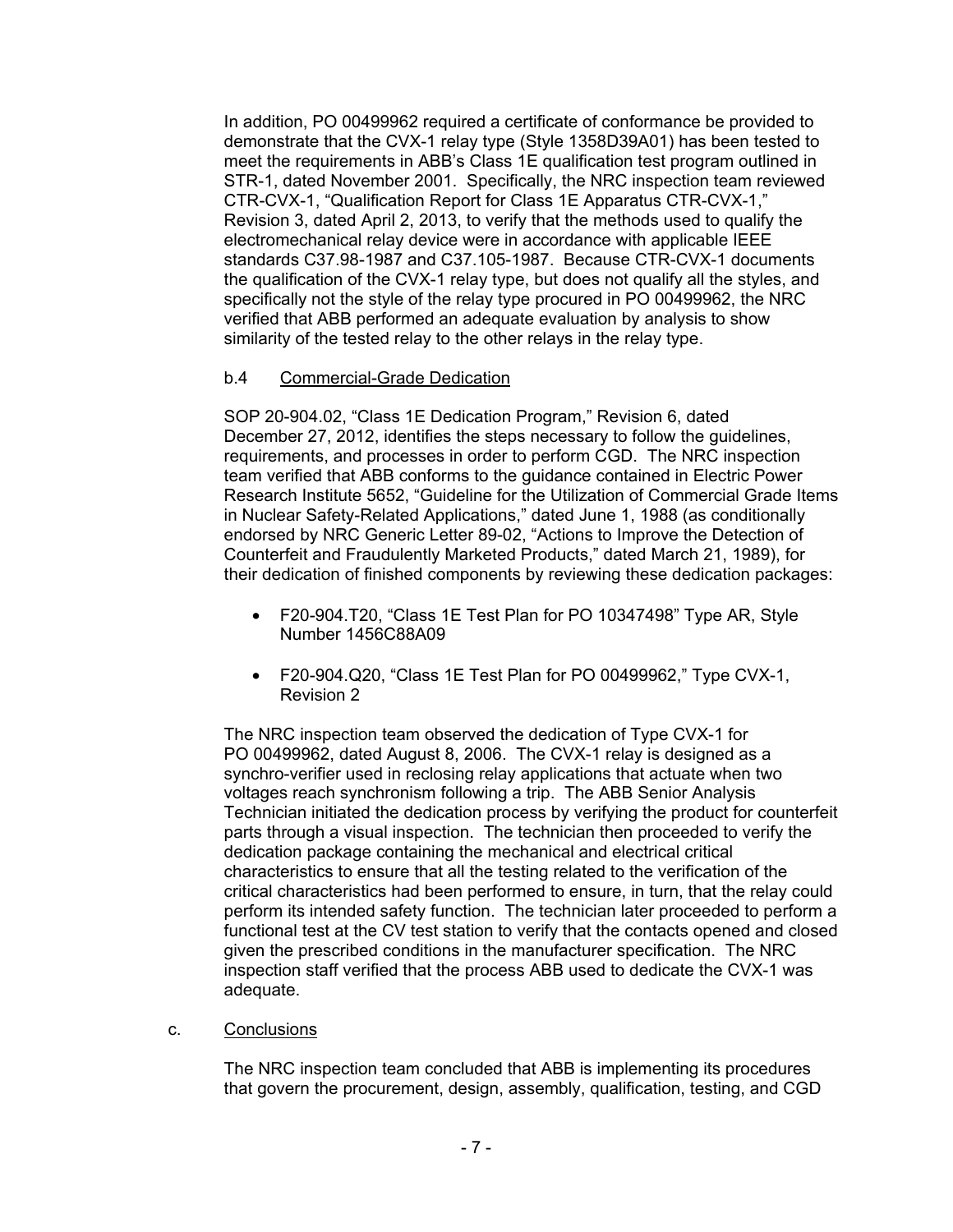In addition, PO 00499962 required a certificate of conformance be provided to demonstrate that the CVX-1 relay type (Style 1358D39A01) has been tested to meet the requirements in ABB's Class 1E qualification test program outlined in STR-1, dated November 2001. Specifically, the NRC inspection team reviewed CTR-CVX-1, "Qualification Report for Class 1E Apparatus CTR-CVX-1," Revision 3, dated April 2, 2013, to verify that the methods used to qualify the electromechanical relay device were in accordance with applicable IEEE standards C37.98-1987 and C37.105-1987. Because CTR-CVX-1 documents the qualification of the CVX-1 relay type, but does not qualify all the styles, and specifically not the style of the relay type procured in PO 00499962, the NRC verified that ABB performed an adequate evaluation by analysis to show similarity of the tested relay to the other relays in the relay type.

## b.4 Commercial-Grade Dedication

SOP 20-904.02, "Class 1E Dedication Program," Revision 6, dated December 27, 2012, identifies the steps necessary to follow the guidelines, requirements, and processes in order to perform CGD. The NRC inspection team verified that ABB conforms to the guidance contained in Electric Power Research Institute 5652, "Guideline for the Utilization of Commercial Grade Items in Nuclear Safety-Related Applications," dated June 1, 1988 (as conditionally endorsed by NRC Generic Letter 89-02, "Actions to Improve the Detection of Counterfeit and Fraudulently Marketed Products," dated March 21, 1989), for their dedication of finished components by reviewing these dedication packages:

- F20-904.T20, "Class 1E Test Plan for PO 10347498" Type AR, Style Number 1456C88A09
- F20-904.Q20, "Class 1E Test Plan for PO 00499962," Type CVX-1, Revision 2

The NRC inspection team observed the dedication of Type CVX-1 for PO 00499962, dated August 8, 2006. The CVX-1 relay is designed as a synchro-verifier used in reclosing relay applications that actuate when two voltages reach synchronism following a trip. The ABB Senior Analysis Technician initiated the dedication process by verifying the product for counterfeit parts through a visual inspection. The technician then proceeded to verify the dedication package containing the mechanical and electrical critical characteristics to ensure that all the testing related to the verification of the critical characteristics had been performed to ensure, in turn, that the relay could perform its intended safety function. The technician later proceeded to perform a functional test at the CV test station to verify that the contacts opened and closed given the prescribed conditions in the manufacturer specification. The NRC inspection staff verified that the process ABB used to dedicate the CVX-1 was adequate.

### c. Conclusions

The NRC inspection team concluded that ABB is implementing its procedures that govern the procurement, design, assembly, qualification, testing, and CGD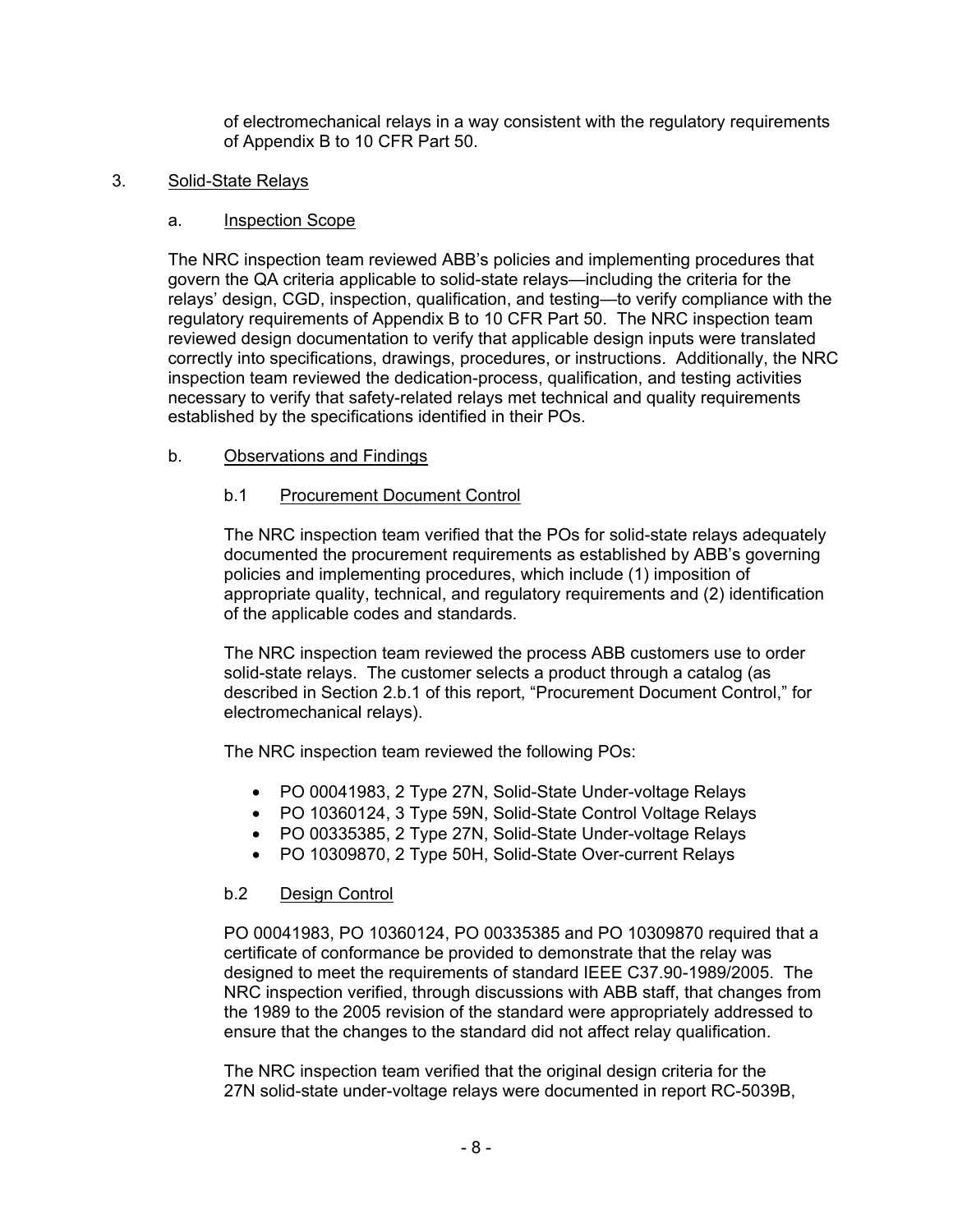of electromechanical relays in a way consistent with the regulatory requirements of Appendix B to 10 CFR Part 50.

### 3. Solid-State Relays

#### a. Inspection Scope

The NRC inspection team reviewed ABB's policies and implementing procedures that govern the QA criteria applicable to solid-state relays—including the criteria for the relays' design, CGD, inspection, qualification, and testing—to verify compliance with the regulatory requirements of Appendix B to 10 CFR Part 50. The NRC inspection team reviewed design documentation to verify that applicable design inputs were translated correctly into specifications, drawings, procedures, or instructions. Additionally, the NRC inspection team reviewed the dedication-process, qualification, and testing activities necessary to verify that safety-related relays met technical and quality requirements established by the specifications identified in their POs.

### b. Observations and Findings

### b.1 Procurement Document Control

The NRC inspection team verified that the POs for solid-state relays adequately documented the procurement requirements as established by ABB's governing policies and implementing procedures, which include (1) imposition of appropriate quality, technical, and regulatory requirements and (2) identification of the applicable codes and standards.

The NRC inspection team reviewed the process ABB customers use to order solid-state relays. The customer selects a product through a catalog (as described in Section 2.b.1 of this report, "Procurement Document Control," for electromechanical relays).

The NRC inspection team reviewed the following POs:

- PO 00041983, 2 Type 27N, Solid-State Under-voltage Relays
- PO 10360124, 3 Type 59N, Solid-State Control Voltage Relays
- PO 00335385, 2 Type 27N, Solid-State Under-voltage Relays
- PO 10309870, 2 Type 50H, Solid-State Over-current Relays

### b.2 Design Control

PO 00041983, PO 10360124, PO 00335385 and PO 10309870 required that a certificate of conformance be provided to demonstrate that the relay was designed to meet the requirements of standard IEEE C37.90-1989/2005. The NRC inspection verified, through discussions with ABB staff, that changes from the 1989 to the 2005 revision of the standard were appropriately addressed to ensure that the changes to the standard did not affect relay qualification.

The NRC inspection team verified that the original design criteria for the 27N solid-state under-voltage relays were documented in report RC-5039B,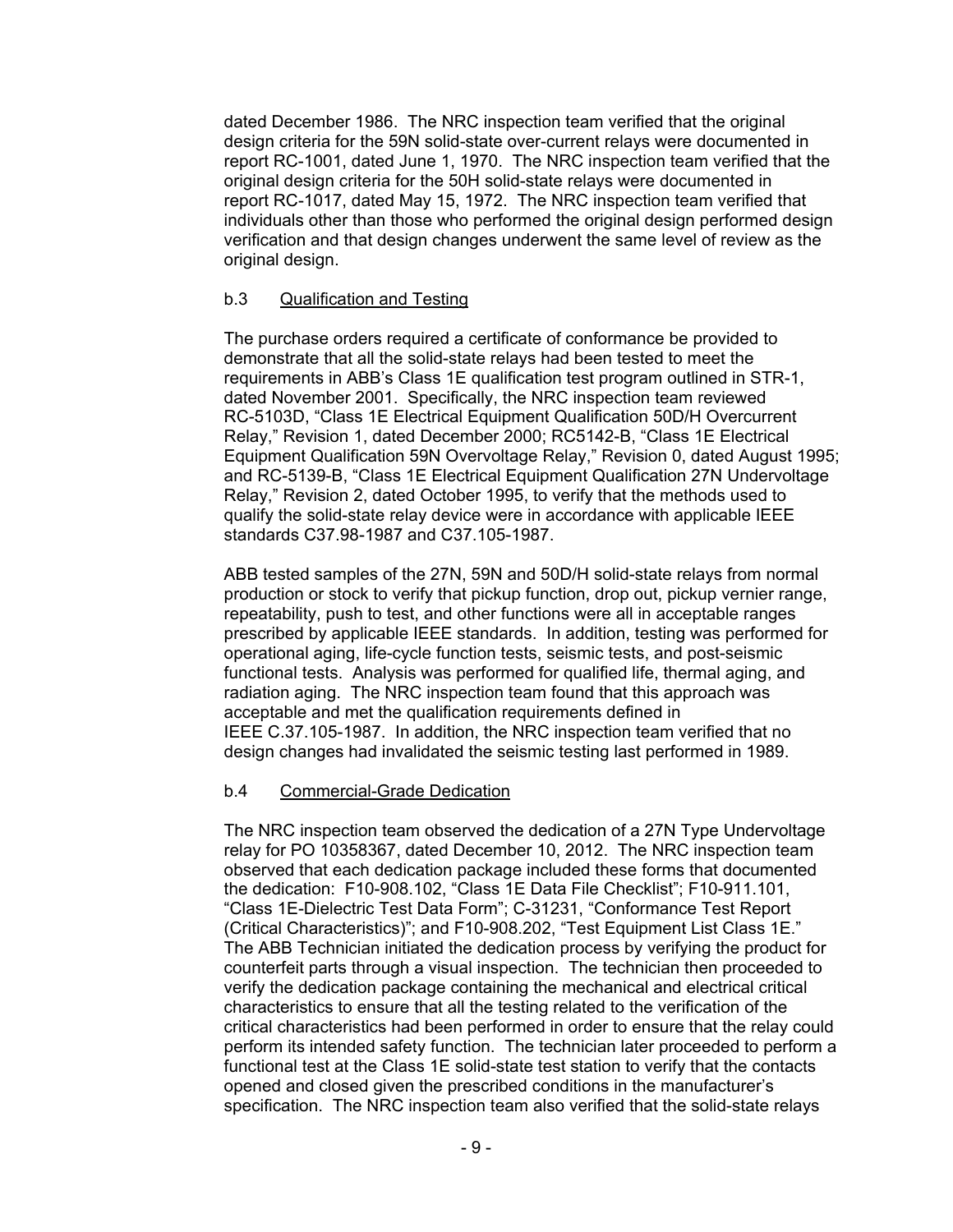dated December 1986. The NRC inspection team verified that the original design criteria for the 59N solid-state over-current relays were documented in report RC-1001, dated June 1, 1970. The NRC inspection team verified that the original design criteria for the 50H solid-state relays were documented in report RC-1017, dated May 15, 1972. The NRC inspection team verified that individuals other than those who performed the original design performed design verification and that design changes underwent the same level of review as the original design.

### b.3 Qualification and Testing

The purchase orders required a certificate of conformance be provided to demonstrate that all the solid-state relays had been tested to meet the requirements in ABB's Class 1E qualification test program outlined in STR-1, dated November 2001. Specifically, the NRC inspection team reviewed RC-5103D, "Class 1E Electrical Equipment Qualification 50D/H Overcurrent Relay," Revision 1, dated December 2000; RC5142-B, "Class 1E Electrical Equipment Qualification 59N Overvoltage Relay," Revision 0, dated August 1995; and RC-5139-B, "Class 1E Electrical Equipment Qualification 27N Undervoltage Relay," Revision 2, dated October 1995, to verify that the methods used to qualify the solid-state relay device were in accordance with applicable IEEE standards C37.98-1987 and C37.105-1987.

ABB tested samples of the 27N, 59N and 50D/H solid-state relays from normal production or stock to verify that pickup function, drop out, pickup vernier range, repeatability, push to test, and other functions were all in acceptable ranges prescribed by applicable IEEE standards. In addition, testing was performed for operational aging, life-cycle function tests, seismic tests, and post-seismic functional tests. Analysis was performed for qualified life, thermal aging, and radiation aging. The NRC inspection team found that this approach was acceptable and met the qualification requirements defined in IEEE C.37.105-1987. In addition, the NRC inspection team verified that no design changes had invalidated the seismic testing last performed in 1989.

### b.4 Commercial-Grade Dedication

The NRC inspection team observed the dedication of a 27N Type Undervoltage relay for PO 10358367, dated December 10, 2012. The NRC inspection team observed that each dedication package included these forms that documented the dedication: F10-908.102, "Class 1E Data File Checklist"; F10-911.101, "Class 1E-Dielectric Test Data Form"; C-31231, "Conformance Test Report (Critical Characteristics)"; and F10-908.202, "Test Equipment List Class 1E." The ABB Technician initiated the dedication process by verifying the product for counterfeit parts through a visual inspection. The technician then proceeded to verify the dedication package containing the mechanical and electrical critical characteristics to ensure that all the testing related to the verification of the critical characteristics had been performed in order to ensure that the relay could perform its intended safety function. The technician later proceeded to perform a functional test at the Class 1E solid-state test station to verify that the contacts opened and closed given the prescribed conditions in the manufacturer's specification. The NRC inspection team also verified that the solid-state relays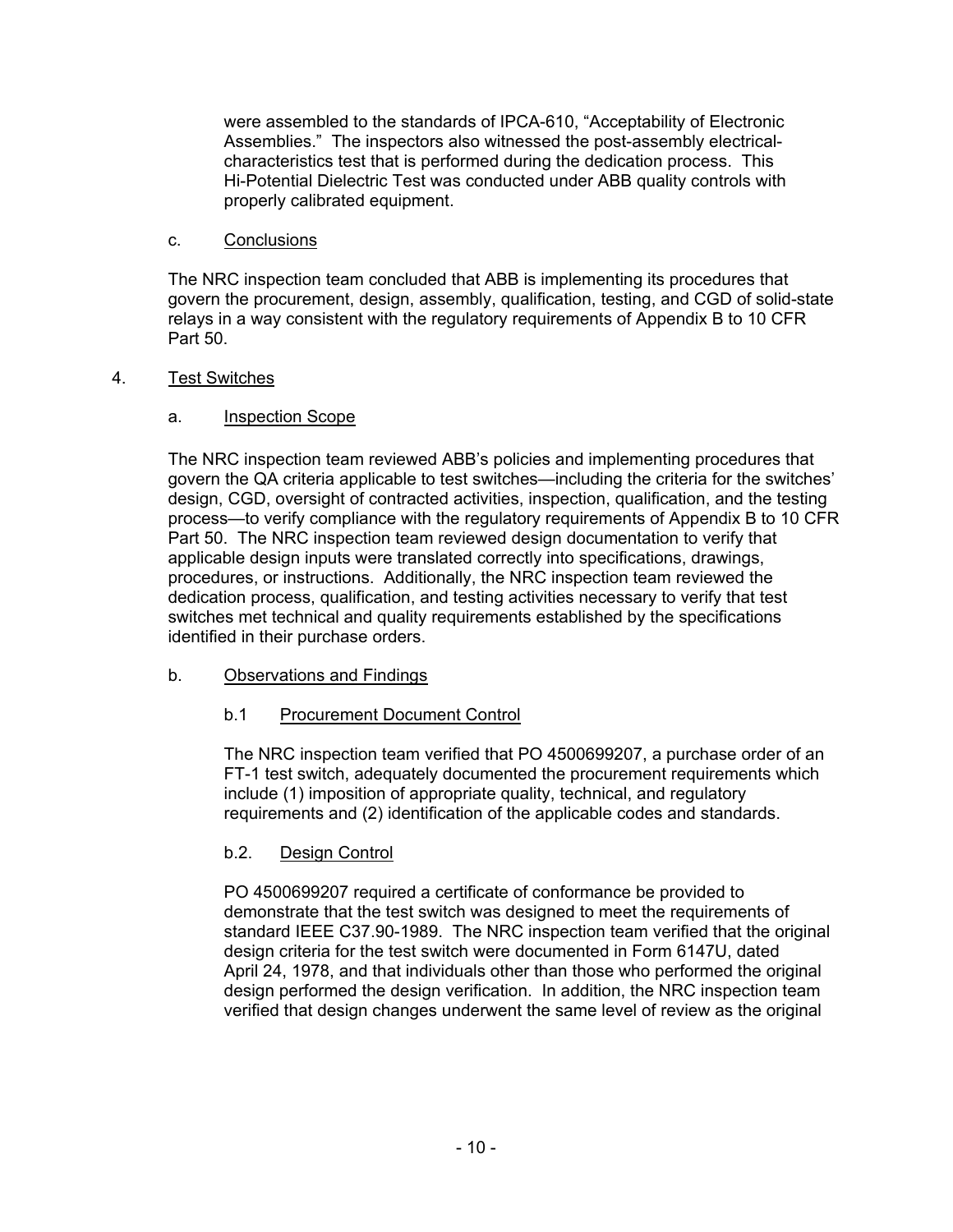were assembled to the standards of IPCA-610, "Acceptability of Electronic Assemblies." The inspectors also witnessed the post-assembly electricalcharacteristics test that is performed during the dedication process. This Hi-Potential Dielectric Test was conducted under ABB quality controls with properly calibrated equipment.

## c. Conclusions

The NRC inspection team concluded that ABB is implementing its procedures that govern the procurement, design, assembly, qualification, testing, and CGD of solid-state relays in a way consistent with the regulatory requirements of Appendix B to 10 CFR Part 50.

## 4. Test Switches

## a. Inspection Scope

The NRC inspection team reviewed ABB's policies and implementing procedures that govern the QA criteria applicable to test switches—including the criteria for the switches' design, CGD, oversight of contracted activities, inspection, qualification, and the testing process—to verify compliance with the regulatory requirements of Appendix B to 10 CFR Part 50. The NRC inspection team reviewed design documentation to verify that applicable design inputs were translated correctly into specifications, drawings, procedures, or instructions. Additionally, the NRC inspection team reviewed the dedication process, qualification, and testing activities necessary to verify that test switches met technical and quality requirements established by the specifications identified in their purchase orders.

## b. Observations and Findings

## b.1 Procurement Document Control

The NRC inspection team verified that PO 4500699207, a purchase order of an FT-1 test switch, adequately documented the procurement requirements which include (1) imposition of appropriate quality, technical, and regulatory requirements and (2) identification of the applicable codes and standards.

## b.2. Design Control

PO 4500699207 required a certificate of conformance be provided to demonstrate that the test switch was designed to meet the requirements of standard IEEE C37.90-1989. The NRC inspection team verified that the original design criteria for the test switch were documented in Form 6147U, dated April 24, 1978, and that individuals other than those who performed the original design performed the design verification. In addition, the NRC inspection team verified that design changes underwent the same level of review as the original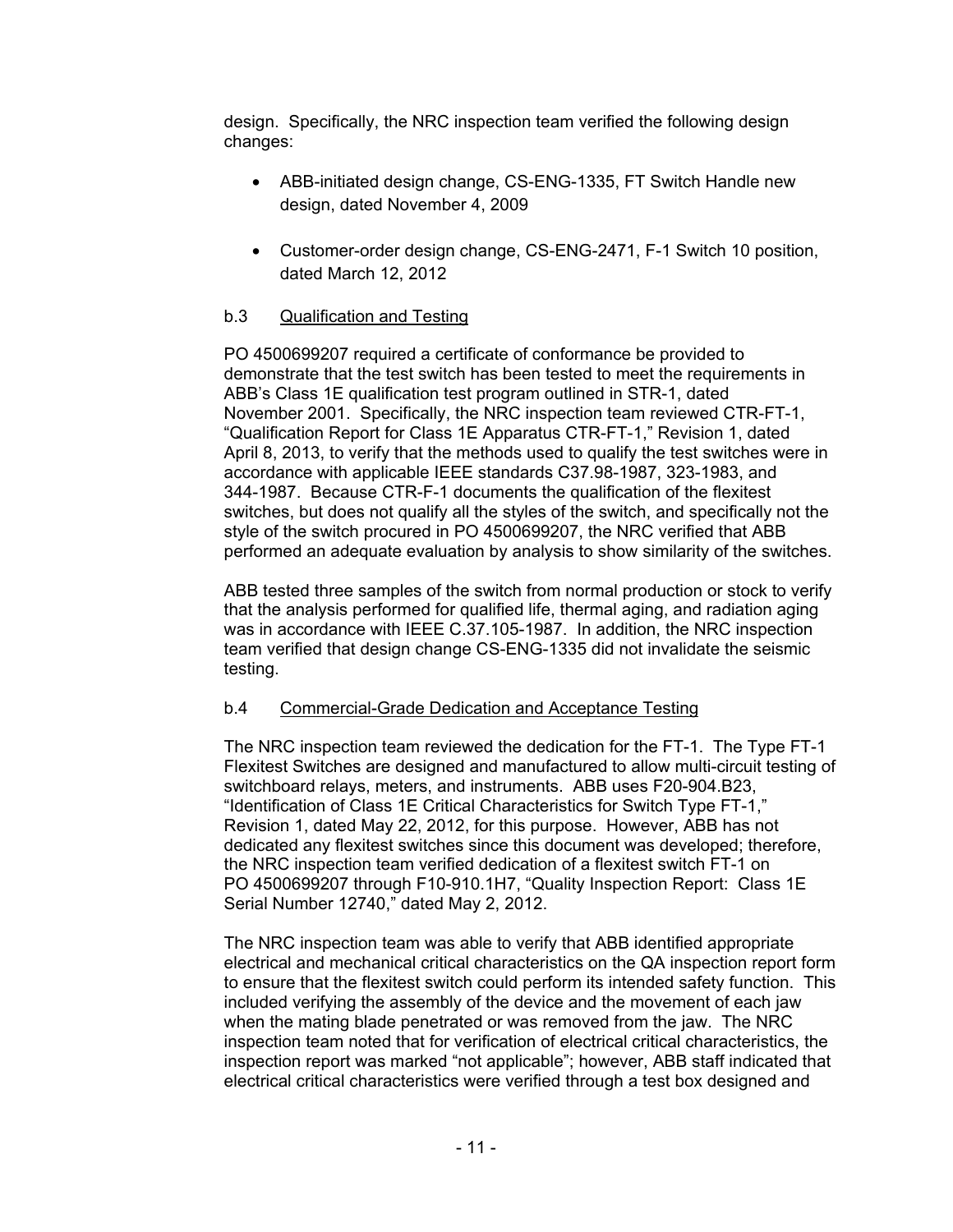design. Specifically, the NRC inspection team verified the following design changes:

- ABB-initiated design change, CS-ENG-1335, FT Switch Handle new design, dated November 4, 2009
- Customer-order design change, CS-ENG-2471, F-1 Switch 10 position, dated March 12, 2012

# b.3 Qualification and Testing

PO 4500699207 required a certificate of conformance be provided to demonstrate that the test switch has been tested to meet the requirements in ABB's Class 1E qualification test program outlined in STR-1, dated November 2001. Specifically, the NRC inspection team reviewed CTR-FT-1, "Qualification Report for Class 1E Apparatus CTR-FT-1," Revision 1, dated April 8, 2013, to verify that the methods used to qualify the test switches were in accordance with applicable IEEE standards C37.98-1987, 323-1983, and 344-1987. Because CTR-F-1 documents the qualification of the flexitest switches, but does not qualify all the styles of the switch, and specifically not the style of the switch procured in PO 4500699207, the NRC verified that ABB performed an adequate evaluation by analysis to show similarity of the switches.

ABB tested three samples of the switch from normal production or stock to verify that the analysis performed for qualified life, thermal aging, and radiation aging was in accordance with IEEE C.37.105-1987. In addition, the NRC inspection team verified that design change CS-ENG-1335 did not invalidate the seismic testing.

## b.4 Commercial-Grade Dedication and Acceptance Testing

The NRC inspection team reviewed the dedication for the FT-1. The Type FT-1 Flexitest Switches are designed and manufactured to allow multi-circuit testing of switchboard relays, meters, and instruments. ABB uses F20-904.B23, "Identification of Class 1E Critical Characteristics for Switch Type FT-1," Revision 1, dated May 22, 2012, for this purpose. However, ABB has not dedicated any flexitest switches since this document was developed; therefore, the NRC inspection team verified dedication of a flexitest switch FT-1 on PO 4500699207 through F10-910.1H7, "Quality Inspection Report: Class 1E Serial Number 12740," dated May 2, 2012.

The NRC inspection team was able to verify that ABB identified appropriate electrical and mechanical critical characteristics on the QA inspection report form to ensure that the flexitest switch could perform its intended safety function. This included verifying the assembly of the device and the movement of each jaw when the mating blade penetrated or was removed from the jaw. The NRC inspection team noted that for verification of electrical critical characteristics, the inspection report was marked "not applicable"; however, ABB staff indicated that electrical critical characteristics were verified through a test box designed and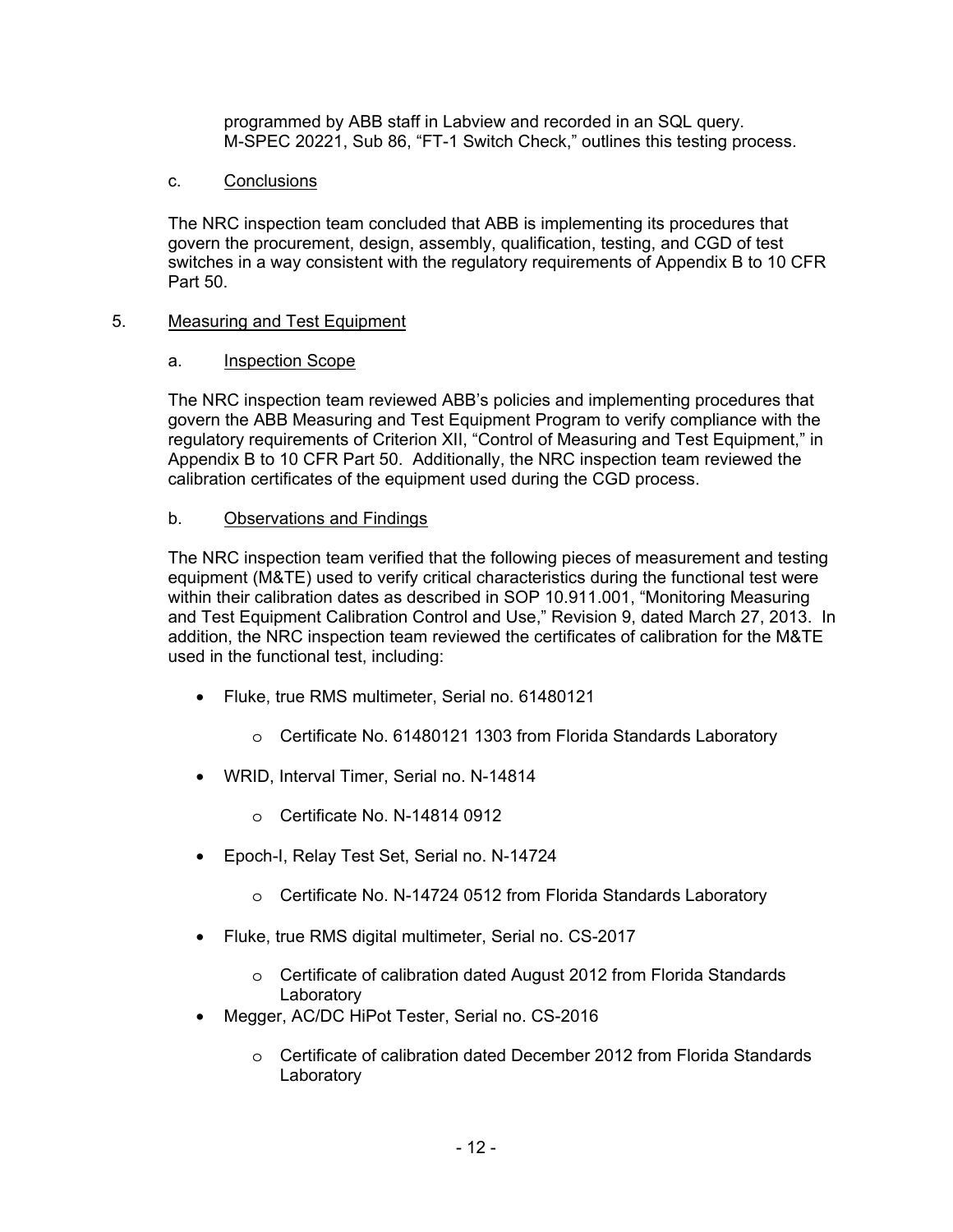programmed by ABB staff in Labview and recorded in an SQL query. M-SPEC 20221, Sub 86, "FT-1 Switch Check," outlines this testing process.

#### c. Conclusions

The NRC inspection team concluded that ABB is implementing its procedures that govern the procurement, design, assembly, qualification, testing, and CGD of test switches in a way consistent with the regulatory requirements of Appendix B to 10 CFR Part 50.

#### 5. Measuring and Test Equipment

#### a. Inspection Scope

The NRC inspection team reviewed ABB's policies and implementing procedures that govern the ABB Measuring and Test Equipment Program to verify compliance with the regulatory requirements of Criterion XII, "Control of Measuring and Test Equipment," in Appendix B to 10 CFR Part 50. Additionally, the NRC inspection team reviewed the calibration certificates of the equipment used during the CGD process.

### b. Observations and Findings

The NRC inspection team verified that the following pieces of measurement and testing equipment (M&TE) used to verify critical characteristics during the functional test were within their calibration dates as described in SOP 10.911.001, "Monitoring Measuring and Test Equipment Calibration Control and Use," Revision 9, dated March 27, 2013. In addition, the NRC inspection team reviewed the certificates of calibration for the M&TE used in the functional test, including:

- Fluke, true RMS multimeter, Serial no. 61480121
	- o Certificate No. 61480121 1303 from Florida Standards Laboratory
- WRID, Interval Timer, Serial no. N-14814
	- o Certificate No. N-14814 0912
- Epoch-I, Relay Test Set, Serial no. N-14724
	- o Certificate No. N-14724 0512 from Florida Standards Laboratory
- Fluke, true RMS digital multimeter, Serial no. CS-2017
	- o Certificate of calibration dated August 2012 from Florida Standards **Laboratory**
- Megger, AC/DC HiPot Tester, Serial no. CS-2016
	- o Certificate of calibration dated December 2012 from Florida Standards **Laboratory**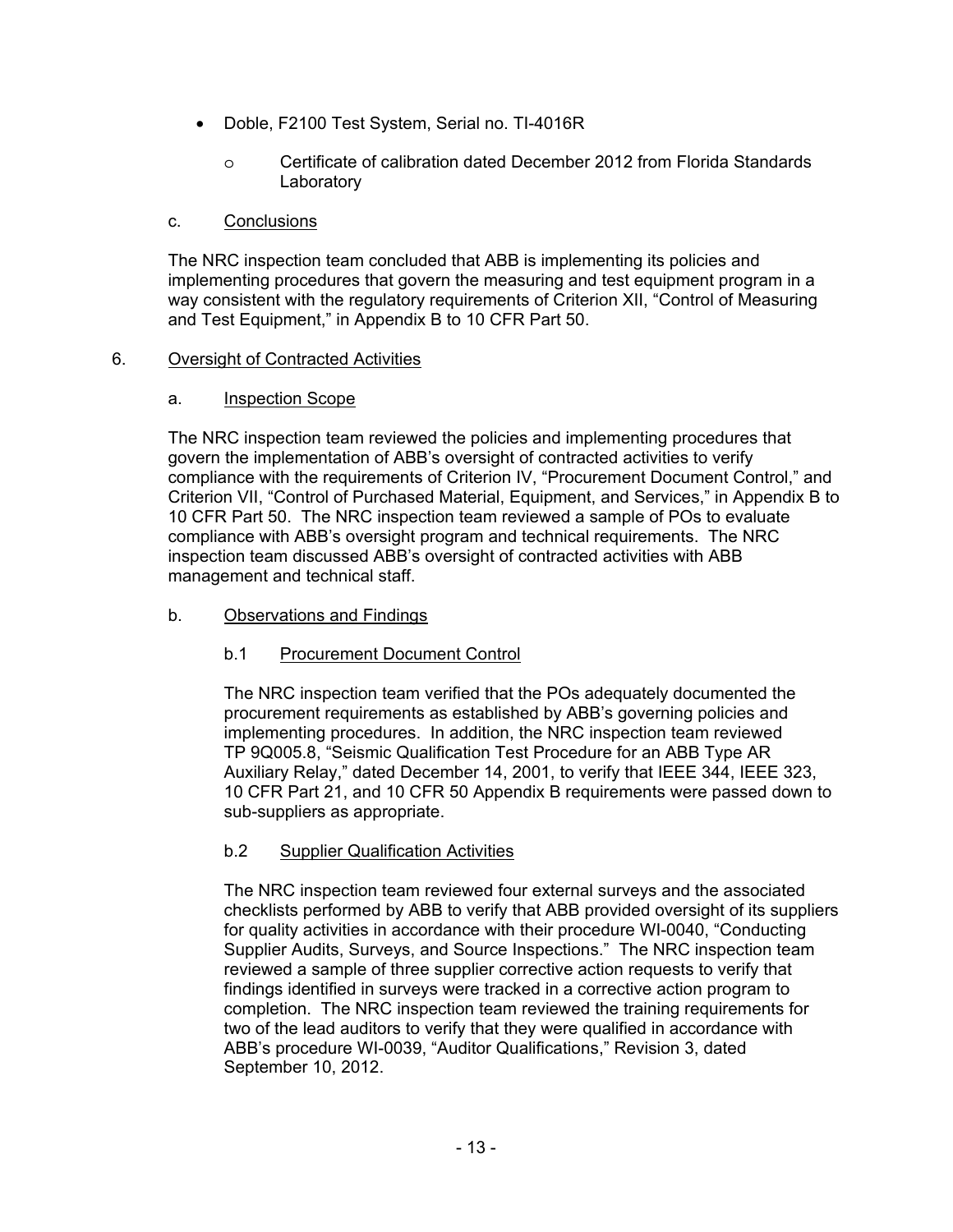- Doble, F2100 Test System, Serial no. TI-4016R
	- o Certificate of calibration dated December 2012 from Florida Standards Laboratory

#### c. Conclusions

The NRC inspection team concluded that ABB is implementing its policies and implementing procedures that govern the measuring and test equipment program in a way consistent with the regulatory requirements of Criterion XII, "Control of Measuring and Test Equipment," in Appendix B to 10 CFR Part 50.

#### 6. Oversight of Contracted Activities

#### a. Inspection Scope

The NRC inspection team reviewed the policies and implementing procedures that govern the implementation of ABB's oversight of contracted activities to verify compliance with the requirements of Criterion IV, "Procurement Document Control," and Criterion VII, "Control of Purchased Material, Equipment, and Services," in Appendix B to 10 CFR Part 50. The NRC inspection team reviewed a sample of POs to evaluate compliance with ABB's oversight program and technical requirements. The NRC inspection team discussed ABB's oversight of contracted activities with ABB management and technical staff.

### b. Observations and Findings

### b.1 Procurement Document Control

The NRC inspection team verified that the POs adequately documented the procurement requirements as established by ABB's governing policies and implementing procedures. In addition, the NRC inspection team reviewed TP 9Q005.8, "Seismic Qualification Test Procedure for an ABB Type AR Auxiliary Relay," dated December 14, 2001, to verify that IEEE 344, IEEE 323, 10 CFR Part 21, and 10 CFR 50 Appendix B requirements were passed down to sub-suppliers as appropriate.

### b.2 Supplier Qualification Activities

The NRC inspection team reviewed four external surveys and the associated checklists performed by ABB to verify that ABB provided oversight of its suppliers for quality activities in accordance with their procedure WI-0040, "Conducting Supplier Audits, Surveys, and Source Inspections." The NRC inspection team reviewed a sample of three supplier corrective action requests to verify that findings identified in surveys were tracked in a corrective action program to completion. The NRC inspection team reviewed the training requirements for two of the lead auditors to verify that they were qualified in accordance with ABB's procedure WI-0039, "Auditor Qualifications," Revision 3, dated September 10, 2012.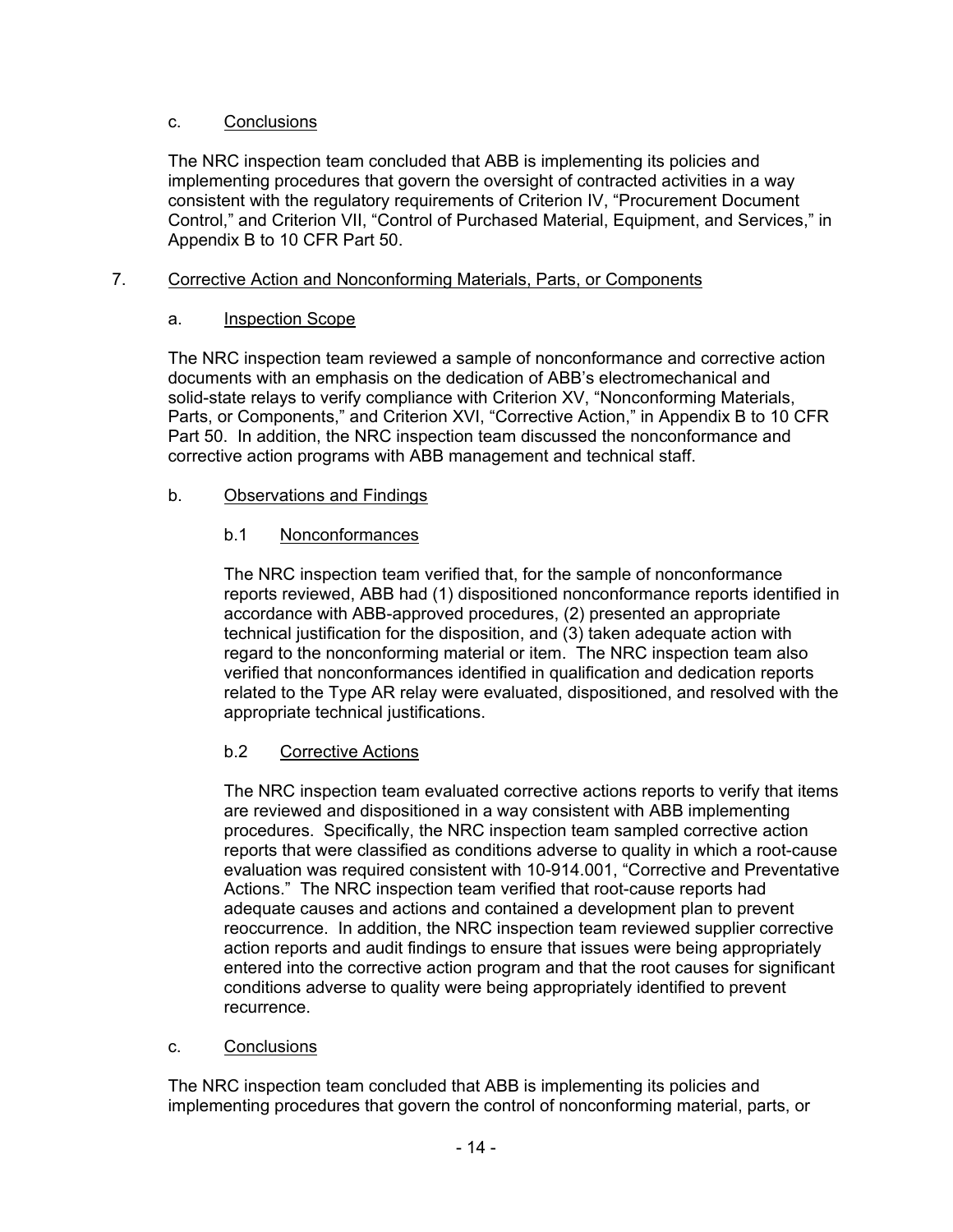## c. Conclusions

The NRC inspection team concluded that ABB is implementing its policies and implementing procedures that govern the oversight of contracted activities in a way consistent with the regulatory requirements of Criterion IV, "Procurement Document Control," and Criterion VII, "Control of Purchased Material, Equipment, and Services," in Appendix B to 10 CFR Part 50.

## 7. Corrective Action and Nonconforming Materials, Parts, or Components

## a. Inspection Scope

The NRC inspection team reviewed a sample of nonconformance and corrective action documents with an emphasis on the dedication of ABB's electromechanical and solid-state relays to verify compliance with Criterion XV, "Nonconforming Materials, Parts, or Components," and Criterion XVI, "Corrective Action," in Appendix B to 10 CFR Part 50. In addition, the NRC inspection team discussed the nonconformance and corrective action programs with ABB management and technical staff.

## b. Observations and Findings

## b.1 Nonconformances

The NRC inspection team verified that, for the sample of nonconformance reports reviewed, ABB had (1) dispositioned nonconformance reports identified in accordance with ABB-approved procedures, (2) presented an appropriate technical justification for the disposition, and (3) taken adequate action with regard to the nonconforming material or item. The NRC inspection team also verified that nonconformances identified in qualification and dedication reports related to the Type AR relay were evaluated, dispositioned, and resolved with the appropriate technical justifications.

## b.2 Corrective Actions

The NRC inspection team evaluated corrective actions reports to verify that items are reviewed and dispositioned in a way consistent with ABB implementing procedures. Specifically, the NRC inspection team sampled corrective action reports that were classified as conditions adverse to quality in which a root-cause evaluation was required consistent with 10-914.001, "Corrective and Preventative Actions." The NRC inspection team verified that root-cause reports had adequate causes and actions and contained a development plan to prevent reoccurrence. In addition, the NRC inspection team reviewed supplier corrective action reports and audit findings to ensure that issues were being appropriately entered into the corrective action program and that the root causes for significant conditions adverse to quality were being appropriately identified to prevent recurrence.

### c. Conclusions

The NRC inspection team concluded that ABB is implementing its policies and implementing procedures that govern the control of nonconforming material, parts, or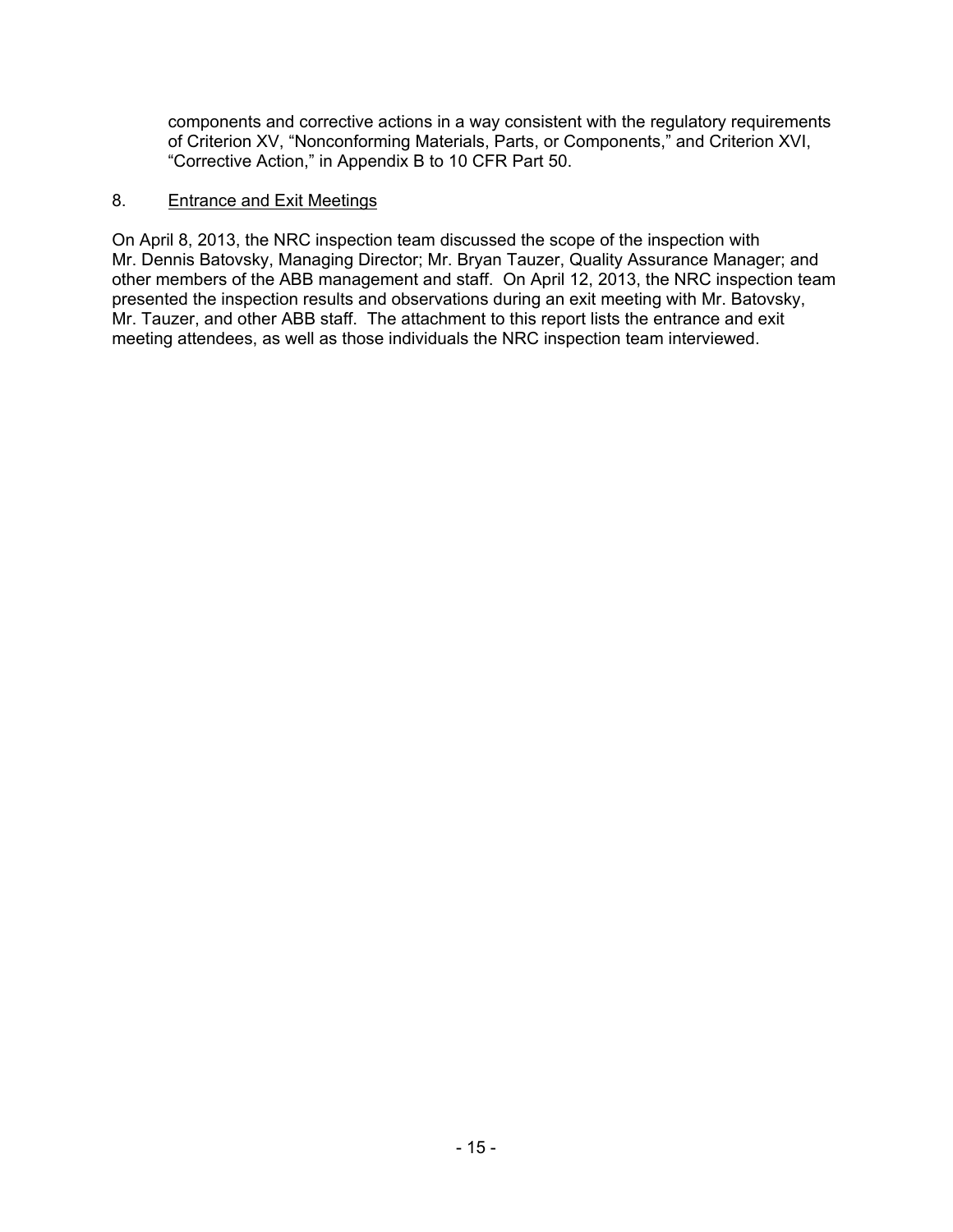components and corrective actions in a way consistent with the regulatory requirements of Criterion XV, "Nonconforming Materials, Parts, or Components," and Criterion XVI, "Corrective Action," in Appendix B to 10 CFR Part 50.

### 8. Entrance and Exit Meetings

On April 8, 2013, the NRC inspection team discussed the scope of the inspection with Mr. Dennis Batovsky, Managing Director; Mr. Bryan Tauzer, Quality Assurance Manager; and other members of the ABB management and staff. On April 12, 2013, the NRC inspection team presented the inspection results and observations during an exit meeting with Mr. Batovsky, Mr. Tauzer, and other ABB staff. The attachment to this report lists the entrance and exit meeting attendees, as well as those individuals the NRC inspection team interviewed.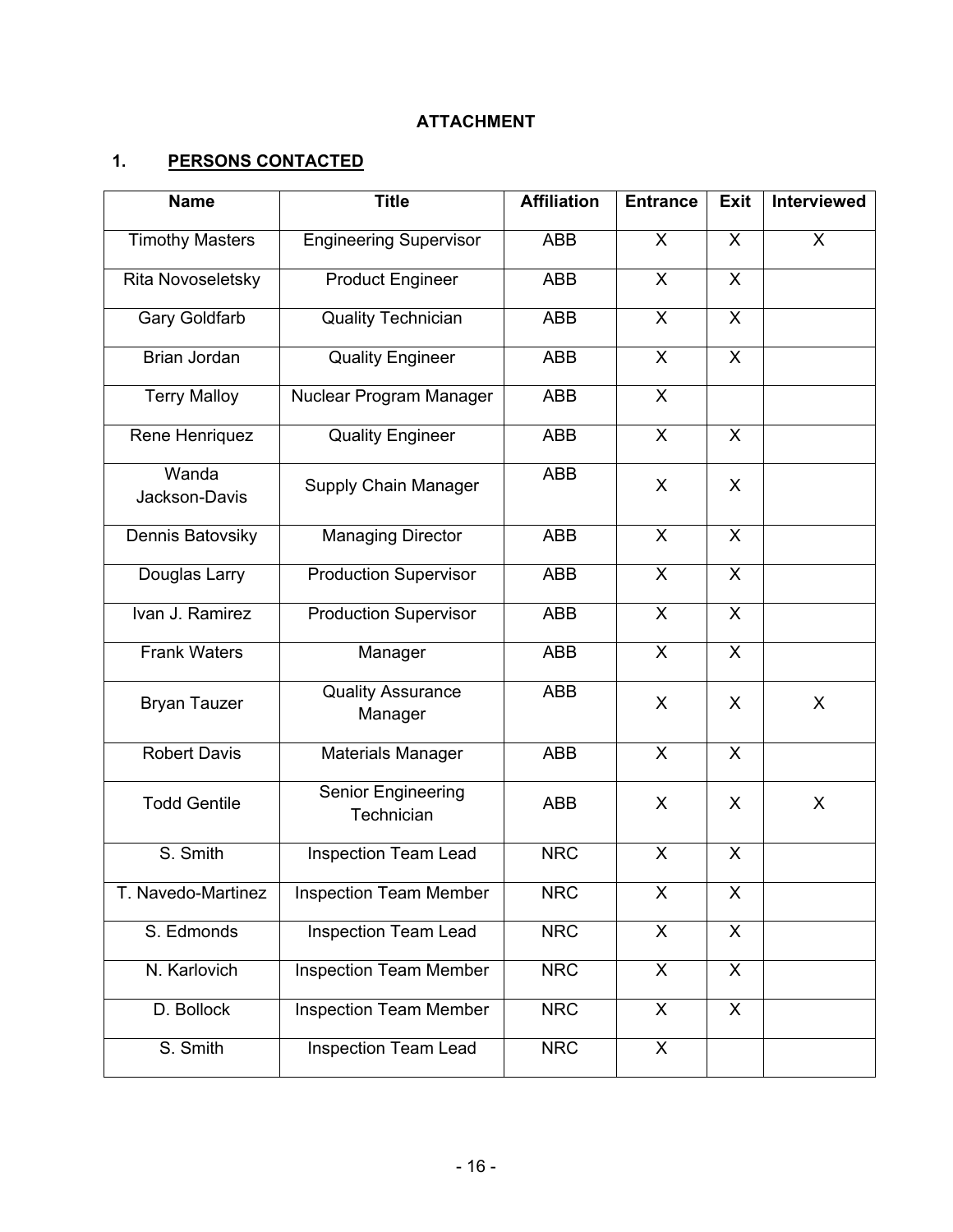# **ATTACHMENT**

# **1. PERSONS CONTACTED**

| <b>Name</b>            | <b>Title</b>                        | <b>Affiliation</b> | <b>Entrance</b>           | <b>Exit</b>             | Interviewed |
|------------------------|-------------------------------------|--------------------|---------------------------|-------------------------|-------------|
| <b>Timothy Masters</b> | <b>Engineering Supervisor</b>       | <b>ABB</b>         | X                         | $\mathsf{X}$            | X           |
| Rita Novoseletsky      | <b>Product Engineer</b>             | <b>ABB</b>         | X                         | $\mathsf{X}$            |             |
| <b>Gary Goldfarb</b>   | <b>Quality Technician</b>           | <b>ABB</b>         | X                         | X                       |             |
| Brian Jordan           | <b>Quality Engineer</b>             | <b>ABB</b>         | X                         | X                       |             |
| <b>Terry Malloy</b>    | Nuclear Program Manager             | <b>ABB</b>         | X                         |                         |             |
| Rene Henriquez         | <b>Quality Engineer</b>             | <b>ABB</b>         | $\boldsymbol{\mathsf{X}}$ | X.                      |             |
| Wanda<br>Jackson-Davis | Supply Chain Manager                | <b>ABB</b>         | X                         | X                       |             |
| Dennis Batovsiky       | <b>Managing Director</b>            | <b>ABB</b>         | X                         | $\mathsf{X}$            |             |
| Douglas Larry          | <b>Production Supervisor</b>        | <b>ABB</b>         | X                         | X                       |             |
| Ivan J. Ramirez        | <b>Production Supervisor</b>        | <b>ABB</b>         | X                         | $\mathsf{X}$            |             |
| <b>Frank Waters</b>    | Manager                             | <b>ABB</b>         | $\boldsymbol{\mathsf{X}}$ | $\mathsf{X}$            |             |
| <b>Bryan Tauzer</b>    | <b>Quality Assurance</b><br>Manager | <b>ABB</b>         | X                         | X                       | X           |
| <b>Robert Davis</b>    | Materials Manager                   | <b>ABB</b>         | X                         | $\mathsf{X}$            |             |
| <b>Todd Gentile</b>    | Senior Engineering<br>Technician    | <b>ABB</b>         | X                         | X                       | X           |
| S. Smith               | <b>Inspection Team Lead</b>         | <b>NRC</b>         | X                         | X                       |             |
| T. Navedo-Martinez     | <b>Inspection Team Member</b>       | <b>NRC</b>         | X                         | X                       |             |
| S. Edmonds             | <b>Inspection Team Lead</b>         | <b>NRC</b>         | $\overline{\mathsf{x}}$   | $\overline{\mathsf{x}}$ |             |
| N. Karlovich           | <b>Inspection Team Member</b>       | <b>NRC</b>         | $\pmb{\times}$            | X                       |             |
| D. Bollock             | <b>Inspection Team Member</b>       | <b>NRC</b>         | X                         | $\mathsf{X}$            |             |
| S. Smith               | <b>Inspection Team Lead</b>         | <b>NRC</b>         | X                         |                         |             |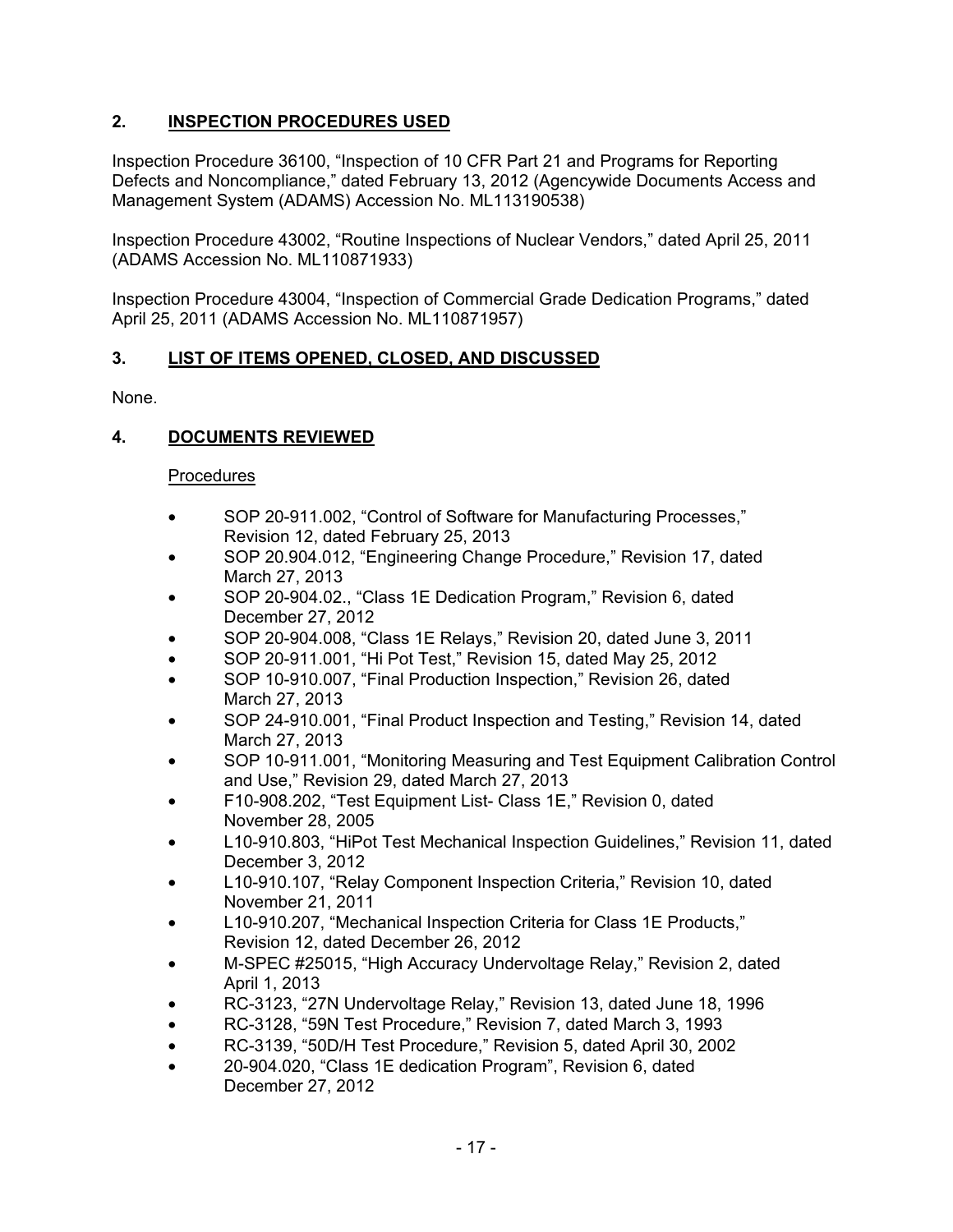# **2. INSPECTION PROCEDURES USED**

Inspection Procedure 36100, "Inspection of 10 CFR Part 21 and Programs for Reporting Defects and Noncompliance," dated February 13, 2012 (Agencywide Documents Access and Management System (ADAMS) Accession No. ML113190538)

Inspection Procedure 43002, "Routine Inspections of Nuclear Vendors," dated April 25, 2011 (ADAMS Accession No. ML110871933)

Inspection Procedure 43004, "Inspection of Commercial Grade Dedication Programs," dated April 25, 2011 (ADAMS Accession No. ML110871957)

## **3. LIST OF ITEMS OPENED, CLOSED, AND DISCUSSED**

None.

## **4. DOCUMENTS REVIEWED**

### Procedures

- SOP 20-911.002, "Control of Software for Manufacturing Processes," Revision 12, dated February 25, 2013
- SOP 20.904.012, "Engineering Change Procedure," Revision 17, dated March 27, 2013
- SOP 20-904.02., "Class 1E Dedication Program," Revision 6, dated December 27, 2012
- SOP 20-904.008, "Class 1E Relays," Revision 20, dated June 3, 2011
- SOP 20-911.001, "Hi Pot Test," Revision 15, dated May 25, 2012
- SOP 10-910.007, "Final Production Inspection," Revision 26, dated March 27, 2013
- SOP 24-910.001, "Final Product Inspection and Testing," Revision 14, dated March 27, 2013
- SOP 10-911.001, "Monitoring Measuring and Test Equipment Calibration Control and Use," Revision 29, dated March 27, 2013
- F10-908.202, "Test Equipment List- Class 1E," Revision 0, dated November 28, 2005
- L10-910.803, "HiPot Test Mechanical Inspection Guidelines," Revision 11, dated December 3, 2012
- L10-910.107, "Relay Component Inspection Criteria," Revision 10, dated November 21, 2011
- L10-910.207, "Mechanical Inspection Criteria for Class 1E Products," Revision 12, dated December 26, 2012
- M-SPEC #25015, "High Accuracy Undervoltage Relay," Revision 2, dated April 1, 2013
- RC-3123, "27N Undervoltage Relay," Revision 13, dated June 18, 1996
- RC-3128, "59N Test Procedure," Revision 7, dated March 3, 1993
- RC-3139, "50D/H Test Procedure," Revision 5, dated April 30, 2002
- 20-904.020, "Class 1E dedication Program", Revision 6, dated December 27, 2012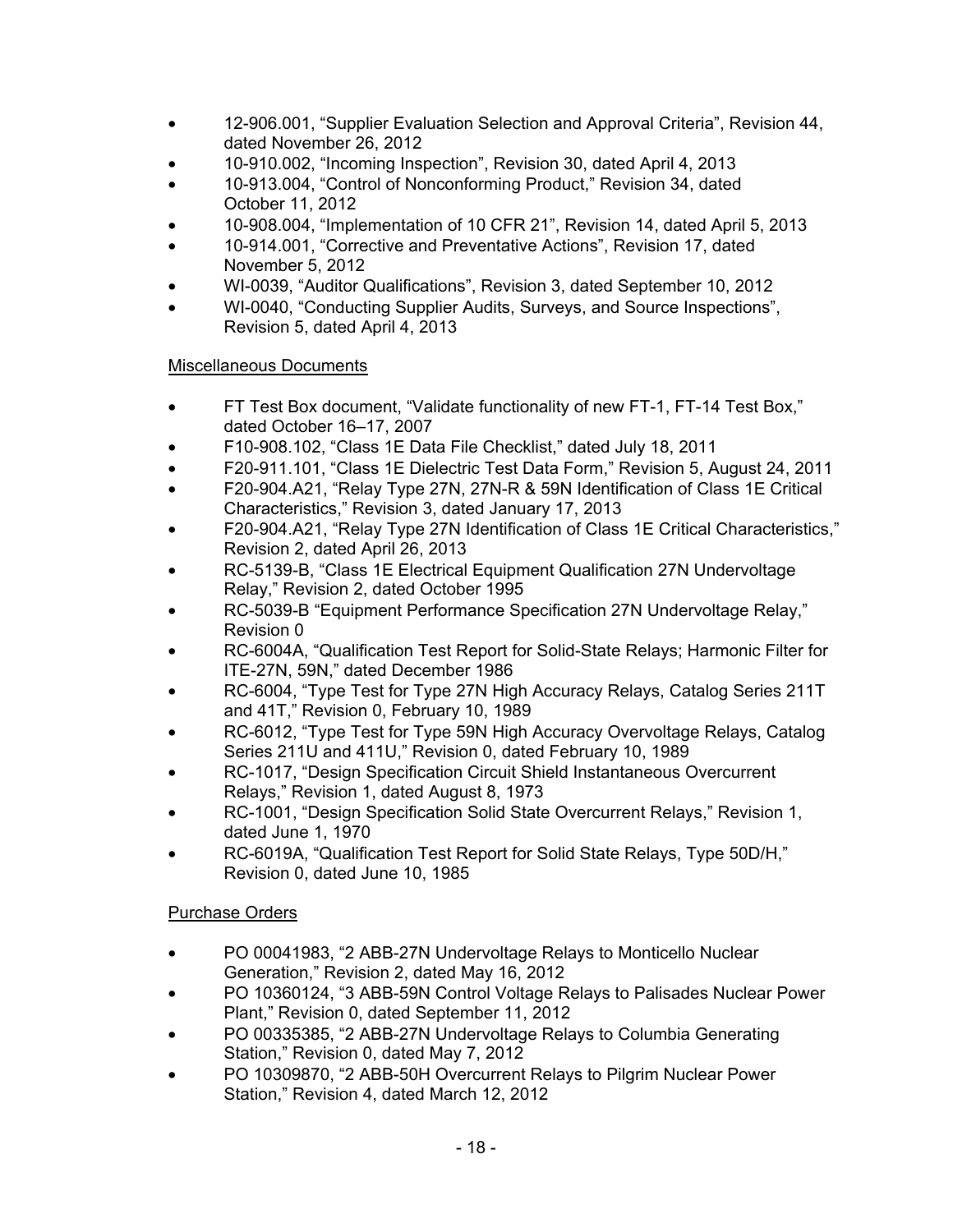- 12-906.001, "Supplier Evaluation Selection and Approval Criteria", Revision 44, dated November 26, 2012
- 10-910.002, "Incoming Inspection", Revision 30, dated April 4, 2013
- 10-913.004, "Control of Nonconforming Product," Revision 34, dated October 11, 2012
- 10-908.004, "Implementation of 10 CFR 21", Revision 14, dated April 5, 2013
- 10-914.001, "Corrective and Preventative Actions", Revision 17, dated November 5, 2012
- WI-0039, "Auditor Qualifications", Revision 3, dated September 10, 2012
- WI-0040, "Conducting Supplier Audits, Surveys, and Source Inspections", Revision 5, dated April 4, 2013

## Miscellaneous Documents

- FT Test Box document, "Validate functionality of new FT-1, FT-14 Test Box," dated October 16–17, 2007
- F10-908.102, "Class 1E Data File Checklist," dated July 18, 2011
- F20-911.101, "Class 1E Dielectric Test Data Form," Revision 5, August 24, 2011
- F20-904.A21, "Relay Type 27N, 27N-R & 59N Identification of Class 1E Critical Characteristics," Revision 3, dated January 17, 2013
- F20-904.A21, "Relay Type 27N Identification of Class 1E Critical Characteristics," Revision 2, dated April 26, 2013
- RC-5139-B, "Class 1E Electrical Equipment Qualification 27N Undervoltage Relay," Revision 2, dated October 1995
- RC-5039-B "Equipment Performance Specification 27N Undervoltage Relay," Revision 0
- RC-6004A, "Qualification Test Report for Solid-State Relays; Harmonic Filter for ITE-27N, 59N," dated December 1986
- RC-6004, "Type Test for Type 27N High Accuracy Relays, Catalog Series 211T and 41T," Revision 0, February 10, 1989
- RC-6012, "Type Test for Type 59N High Accuracy Overvoltage Relays, Catalog Series 211U and 411U," Revision 0, dated February 10, 1989
- RC-1017, "Design Specification Circuit Shield Instantaneous Overcurrent Relays," Revision 1, dated August 8, 1973
- RC-1001, "Design Specification Solid State Overcurrent Relays," Revision 1, dated June 1, 1970
- RC-6019A, "Qualification Test Report for Solid State Relays, Type 50D/H," Revision 0, dated June 10, 1985

## Purchase Orders

- PO 00041983, "2 ABB-27N Undervoltage Relays to Monticello Nuclear Generation," Revision 2, dated May 16, 2012
- PO 10360124, "3 ABB-59N Control Voltage Relays to Palisades Nuclear Power Plant," Revision 0, dated September 11, 2012
- PO 00335385, "2 ABB-27N Undervoltage Relays to Columbia Generating Station," Revision 0, dated May 7, 2012
- PO 10309870, "2 ABB-50H Overcurrent Relays to Pilgrim Nuclear Power Station," Revision 4, dated March 12, 2012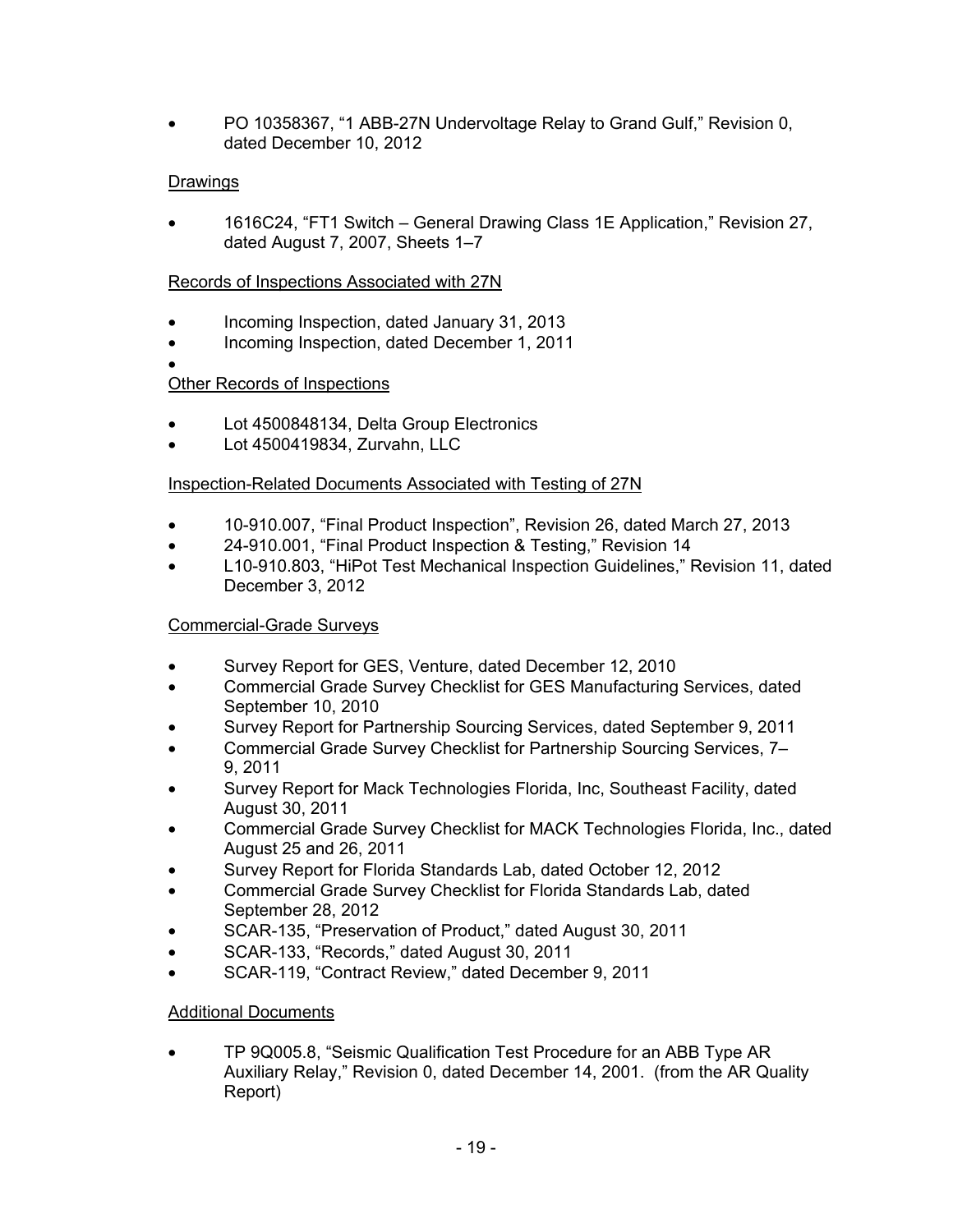• PO 10358367, "1 ABB-27N Undervoltage Relay to Grand Gulf," Revision 0, dated December 10, 2012

# Drawings

• 1616C24, "FT1 Switch – General Drawing Class 1E Application," Revision 27, dated August 7, 2007, Sheets 1–7

## Records of Inspections Associated with 27N

- Incoming Inspection, dated January 31, 2013
- Incoming Inspection, dated December 1, 2011
- •

## Other Records of Inspections

- Lot 4500848134, Delta Group Electronics
- Lot 4500419834, Zurvahn, LLC

## Inspection-Related Documents Associated with Testing of 27N

- 10-910.007, "Final Product Inspection", Revision 26, dated March 27, 2013
- 24-910.001, "Final Product Inspection & Testing," Revision 14
- L10-910.803, "HiPot Test Mechanical Inspection Guidelines," Revision 11, dated December 3, 2012

## Commercial-Grade Surveys

- Survey Report for GES, Venture, dated December 12, 2010
- Commercial Grade Survey Checklist for GES Manufacturing Services, dated September 10, 2010
- Survey Report for Partnership Sourcing Services, dated September 9, 2011
- Commercial Grade Survey Checklist for Partnership Sourcing Services, 7– 9, 2011
- Survey Report for Mack Technologies Florida, Inc, Southeast Facility, dated August 30, 2011
- Commercial Grade Survey Checklist for MACK Technologies Florida, Inc., dated August 25 and 26, 2011
- Survey Report for Florida Standards Lab, dated October 12, 2012
- Commercial Grade Survey Checklist for Florida Standards Lab, dated September 28, 2012
- SCAR-135, "Preservation of Product," dated August 30, 2011
- SCAR-133, "Records," dated August 30, 2011
- SCAR-119, "Contract Review," dated December 9, 2011

## Additional Documents

• TP 9Q005.8, "Seismic Qualification Test Procedure for an ABB Type AR Auxiliary Relay," Revision 0, dated December 14, 2001. (from the AR Quality Report)